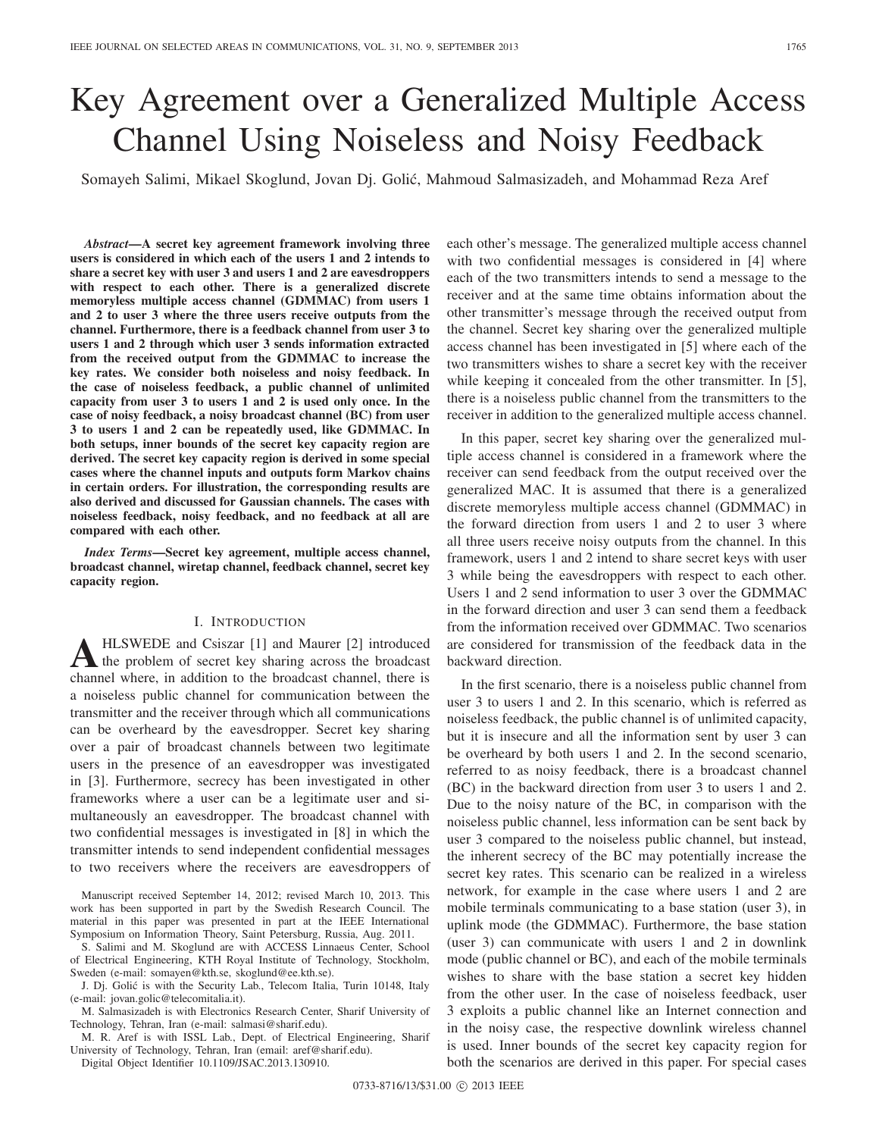# Key Agreement over a Generalized Multiple Access Channel Using Noiseless and Noisy Feedback

Somayeh Salimi, Mikael Skoglund, Jovan Dj. Golić, Mahmoud Salmasizadeh, and Mohammad Reza Aref

*Abstract*—A secret key agreement framework involving three users is considered in which each of the users 1 and 2 intends to share a secret key with user 3 and users 1 and 2 are eavesdroppers with respect to each other. There is a generalized discrete memoryless multiple access channel (GDMMAC) from users 1 and 2 to user 3 where the three users receive outputs from the channel. Furthermore, there is a feedback channel from user 3 to users 1 and 2 through which user 3 sends information extracted from the received output from the GDMMAC to increase the key rates. We consider both noiseless and noisy feedback. In the case of noiseless feedback, a public channel of unlimited capacity from user 3 to users 1 and 2 is used only once. In the case of noisy feedback, a noisy broadcast channel (BC) from user 3 to users 1 and 2 can be repeatedly used, like GDMMAC. In both setups, inner bounds of the secret key capacity region are derived. The secret key capacity region is derived in some special cases where the channel inputs and outputs form Markov chains in certain orders. For illustration, the corresponding results are also derived and discussed for Gaussian channels. The cases with noiseless feedback, noisy feedback, and no feedback at all are compared with each other.

*Index Terms*—Secret key agreement, multiple access channel, broadcast channel, wiretap channel, feedback channel, secret key capacity region.

## I. INTRODUCTION

A HLSWEDE and Csiszar [1] and Maurer [2] introduced<br>the problem of secret key sharing across the broadcast<br>channel where in addition to the broadcast channel them in channel where, in addition to the broadcast channel, there is a noiseless public channel for communication between the transmitter and the receiver through which all communications can be overheard by the eavesdropper. Secret key sharing over a pair of broadcast channels between two legitimate users in the presence of an eavesdropper was investigated in [3]. Furthermore, secrecy has been investigated in other frameworks where a user can be a legitimate user and simultaneously an eavesdropper. The broadcast channel with two confidential messages is investigated in [8] in which the transmitter intends to send independent confidential messages to two receivers where the receivers are eavesdroppers of

Manuscript received September 14, 2012; revised March 10, 2013. This work has been supported in part by the Swedish Research Council. The material in this paper was presented in part at the IEEE International Symposium on Information Theory, Saint Petersburg, Russia, Aug. 2011.

S. Salimi and M. Skoglund are with ACCESS Linnaeus Center, School of Electrical Engineering, KTH Royal Institute of Technology, Stockholm, Sweden (e-mail: somayen@kth.se, skoglund@ee.kth.se).

J. Dj. Golić is with the Security Lab., Telecom Italia, Turin 10148, Italy (e-mail: jovan.golic@telecomitalia.it).

M. Salmasizadeh is with Electronics Research Center, Sharif University of Technology, Tehran, Iran (e-mail: salmasi@sharif.edu).

M. R. Aref is with ISSL Lab., Dept. of Electrical Engineering, Sharif University of Technology, Tehran, Iran (email: aref@sharif.edu).

Digital Object Identifier 10.1109/JSAC.2013.130910.

each other's message. The generalized multiple access channel with two confidential messages is considered in [4] where each of the two transmitters intends to send a message to the receiver and at the same time obtains information about the other transmitter's message through the received output from the channel. Secret key sharing over the generalized multiple access channel has been investigated in [5] where each of the two transmitters wishes to share a secret key with the receiver while keeping it concealed from the other transmitter. In [5], there is a noiseless public channel from the transmitters to the receiver in addition to the generalized multiple access channel.

In this paper, secret key sharing over the generalized multiple access channel is considered in a framework where the receiver can send feedback from the output received over the generalized MAC. It is assumed that there is a generalized discrete memoryless multiple access channel (GDMMAC) in the forward direction from users 1 and 2 to user 3 where all three users receive noisy outputs from the channel. In this framework, users 1 and 2 intend to share secret keys with user 3 while being the eavesdroppers with respect to each other. Users 1 and 2 send information to user 3 over the GDMMAC in the forward direction and user 3 can send them a feedback from the information received over GDMMAC. Two scenarios are considered for transmission of the feedback data in the backward direction.

In the first scenario, there is a noiseless public channel from user 3 to users 1 and 2. In this scenario, which is referred as noiseless feedback, the public channel is of unlimited capacity, but it is insecure and all the information sent by user 3 can be overheard by both users 1 and 2. In the second scenario, referred to as noisy feedback, there is a broadcast channel (BC) in the backward direction from user 3 to users 1 and 2. Due to the noisy nature of the BC, in comparison with the noiseless public channel, less information can be sent back by user 3 compared to the noiseless public channel, but instead, the inherent secrecy of the BC may potentially increase the secret key rates. This scenario can be realized in a wireless network, for example in the case where users 1 and 2 are mobile terminals communicating to a base station (user 3), in uplink mode (the GDMMAC). Furthermore, the base station (user 3) can communicate with users 1 and 2 in downlink mode (public channel or BC), and each of the mobile terminals wishes to share with the base station a secret key hidden from the other user. In the case of noiseless feedback, user 3 exploits a public channel like an Internet connection and in the noisy case, the respective downlink wireless channel is used. Inner bounds of the secret key capacity region for both the scenarios are derived in this paper. For special cases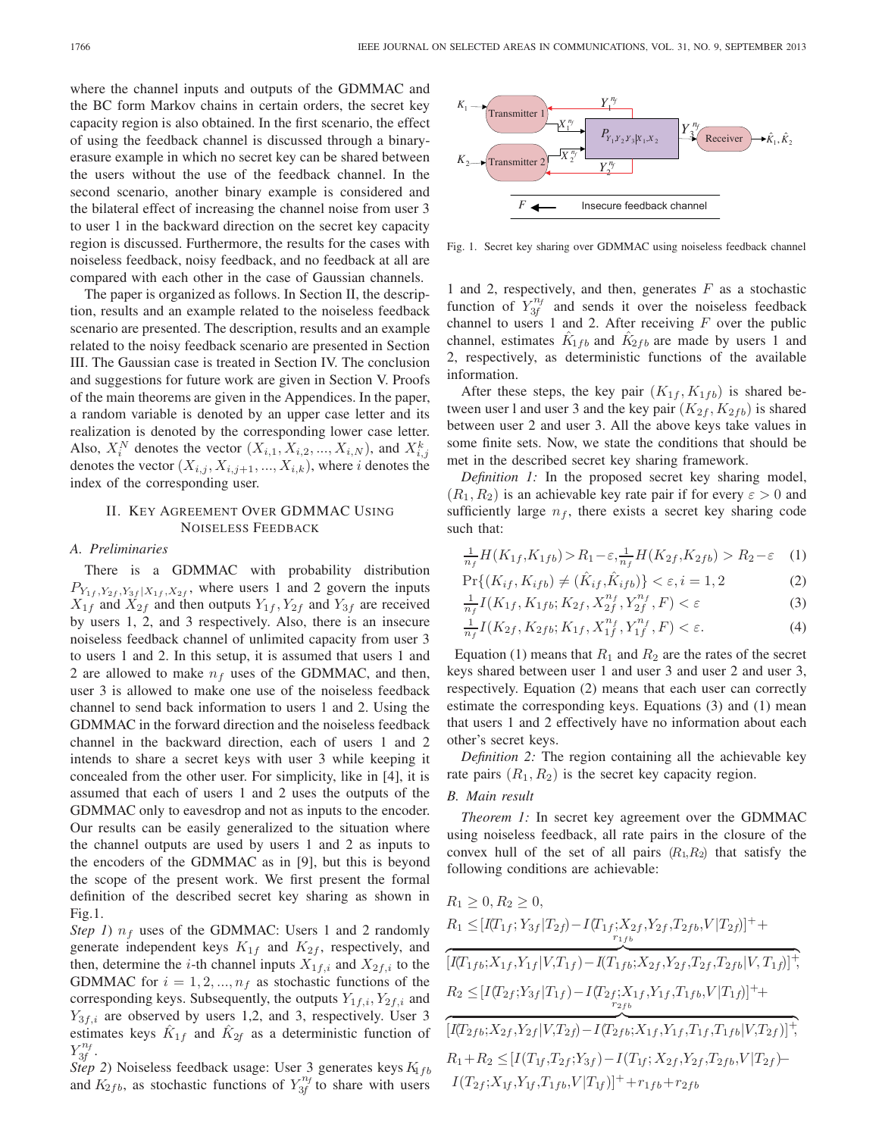where the channel inputs and outputs of the GDMMAC and the BC form Markov chains in certain orders, the secret key capacity region is also obtained. In the first scenario, the effect of using the feedback channel is discussed through a binaryerasure example in which no secret key can be shared between the users without the use of the feedback channel. In the second scenario, another binary example is considered and the bilateral effect of increasing the channel noise from user 3 to user 1 in the backward direction on the secret key capacity region is discussed. Furthermore, the results for the cases with noiseless feedback, noisy feedback, and no feedback at all are compared with each other in the case of Gaussian channels.

The paper is organized as follows. In Section II, the description, results and an example related to the noiseless feedback scenario are presented. The description, results and an example related to the noisy feedback scenario are presented in Section III. The Gaussian case is treated in Section IV. The conclusion and suggestions for future work are given in Section V. Proofs of the main theorems are given in the Appendices. In the paper, a random variable is denoted by an upper case letter and its realization is denoted by the corresponding lower case letter. Also,  $X_i^N$  denotes the vector  $(X_{i,1}, X_{i,2}, ..., X_{i,N})$ , and  $X_{i,j}^k$ <br>denotes the vector  $(X_i, X_{i,1}, X_{i,1})$  where *i* denotes the denotes the vector  $(X_{i,j}, X_{i,j+1}, ..., X_{i,k})$ , where i denotes the index of the corresponding user.

## II. KEY AGREEMENT OVER GDMMAC USING NOISELESS FEEDBACK

# *A. Preliminaries*

There is a GDMMAC with probability distribution  $P_{Y_{1f}, Y_{2f}, Y_{3f} | X_{1f}, X_{2f}}$ , where users 1 and 2 govern the inputs  $X_{1f}$  and  $X_{2f}$  and then outputs  $Y_{1f}$ ,  $Y_{2f}$  and  $Y_{3f}$  are received by users 1, 2, and 3 respectively. Also, there is an insecure noiseless feedback channel of unlimited capacity from user 3 to users 1 and 2. In this setup, it is assumed that users 1 and 2 are allowed to make  $n_f$  uses of the GDMMAC, and then, user 3 is allowed to make one use of the noiseless feedback channel to send back information to users 1 and 2. Using the GDMMAC in the forward direction and the noiseless feedback channel in the backward direction, each of users 1 and 2 intends to share a secret keys with user 3 while keeping it concealed from the other user. For simplicity, like in [4], it is assumed that each of users 1 and 2 uses the outputs of the GDMMAC only to eavesdrop and not as inputs to the encoder. Our results can be easily generalized to the situation where the channel outputs are used by users 1 and 2 as inputs to the encoders of the GDMMAC as in [9], but this is beyond the scope of the present work. We first present the formal definition of the described secret key sharing as shown in Fig.1.

*Step 1*)  $n_f$  uses of the GDMMAC: Users 1 and 2 randomly generate independent keys  $K_{1f}$  and  $K_{2f}$ , respectively, and then, determine the *i*-th channel inputs  $X_{1f,i}$  and  $X_{2f,i}$  to the GDMMAC for  $i = 1, 2, ..., n_f$  as stochastic functions of the corresponding keys. Subsequently, the outputs  $Y_{1f,i}, Y_{2f,i}$  and  $Y_{3f,i}$  are observed by users 1,2, and 3, respectively. User 3 estimates keys  $K_{1f}$  and  $K_{2f}$  as a deterministic function of  $Y_{3f}^{n_f}$ .

*Step 2*) Noiseless feedback usage: User 3 generates keys  $K_{1fb}$ and  $K_{2fb}$ , as stochastic functions of  $Y_{3f}^{n_f}$  to share with users



Fig. 1. Secret key sharing over GDMMAC using noiseless feedback channel

1 and 2, respectively, and then, generates  $F$  as a stochastic function of  $Y_{3f}^{n_f}$  and sends it over the noiseless feedback channel to users 1 and 2. After receiving  $F$  over the public channel, estimates  $K_{1fb}$  and  $K_{2fb}$  are made by users 1 and 2, respectively, as deterministic functions of the available information.

After these steps, the key pair  $(K_{1f}, K_{1fb})$  is shared between user l and user 3 and the key pair  $(K_{2f}, K_{2fb})$  is shared between user 2 and user 3. All the above keys take values in some finite sets. Now, we state the conditions that should be met in the described secret key sharing framework.

*Definition 1:* In the proposed secret key sharing model,  $(R_1, R_2)$  is an achievable key rate pair if for every  $\varepsilon > 0$  and sufficiently large  $n_f$ , there exists a secret key sharing code such that:

$$
\frac{1}{n_f}H(K_{1f}, K_{1fb}) > R_1 - \varepsilon, \frac{1}{n_f}H(K_{2f}, K_{2fb}) > R_2 - \varepsilon \quad (1)
$$

$$
\Pr\{(K_{if}, K_{ifb}) \neq (K_{if}, K_{ifb})\} < \varepsilon, i = 1, 2 \tag{2}
$$

$$
\frac{1}{n_f} I(K_{1f}, K_{1fb}; K_{2f}, X_{2f}^{n_f}, Y_{2f}^{n_f}, F) < \varepsilon \tag{3}
$$

$$
\frac{1}{n_f} I(K_{2f}, K_{2fb}; K_{1f}, X_{1f}^{n_f}, Y_{1f}^{n_f}, F) < \varepsilon. \tag{4}
$$

Equation (1) means that  $R_1$  and  $R_2$  are the rates of the secret keys shared between user 1 and user 3 and user 2 and user 3, respectively. Equation (2) means that each user can correctly estimate the corresponding keys. Equations (3) and (1) mean that users 1 and 2 effectively have no information about each other's secret keys.

*Definition 2:* The region containing all the achievable key rate pairs  $(R_1, R_2)$  is the secret key capacity region.

## *B. Main result*

*Theorem 1:* In secret key agreement over the GDMMAC using noiseless feedback, all rate pairs in the closure of the convex hull of the set of all pairs  $(R_1, R_2)$  that satisfy the following conditions are achievable:

$$
R_1 \ge 0, R_2 \ge 0,
$$
  
\n
$$
R_1 \le [I(T_{1f}; Y_{3f} | T_{2f}) - I(T_{1f}; X_{2f}, Y_{2f}, T_{2fb}, V | T_{2f})]^{+} +
$$
  
\n
$$
[I(T_{1fb}; X_{1f}, Y_{1f} | V, T_{1f}) - I(T_{1fb}; X_{2f}, Y_{2f}, T_{2f}, T_{2fb} | V, T_{1f})]^{+},
$$
  
\n
$$
R_2 \le [I(T_{2f}; Y_{3f} | T_{1f}) - I(T_{2f}; X_{1f}, Y_{1f}, T_{1fb}, V | T_{1f})]^{+} +
$$
  
\n
$$
[I(T_{2fb}; X_{2f}, Y_{2f} | V, T_{2f}) - I(T_{2fb}; X_{1f}, Y_{1f}, T_{1f}, T_{1fb} | V, T_{2f})]^{+},
$$
  
\n
$$
R_1 + R_2 \le [I(T_{1f}, T_{2f}; Y_{3f}) - I(T_{1f}; X_{2f}, Y_{2f}, T_{2fb}, V | T_{2f}) -
$$
  
\n
$$
I(T_{2f}; X_{1f}, Y_{1f}, T_{1fb}, V | T_{1f})]^{+} + r_{1fb} + r_{2fb}
$$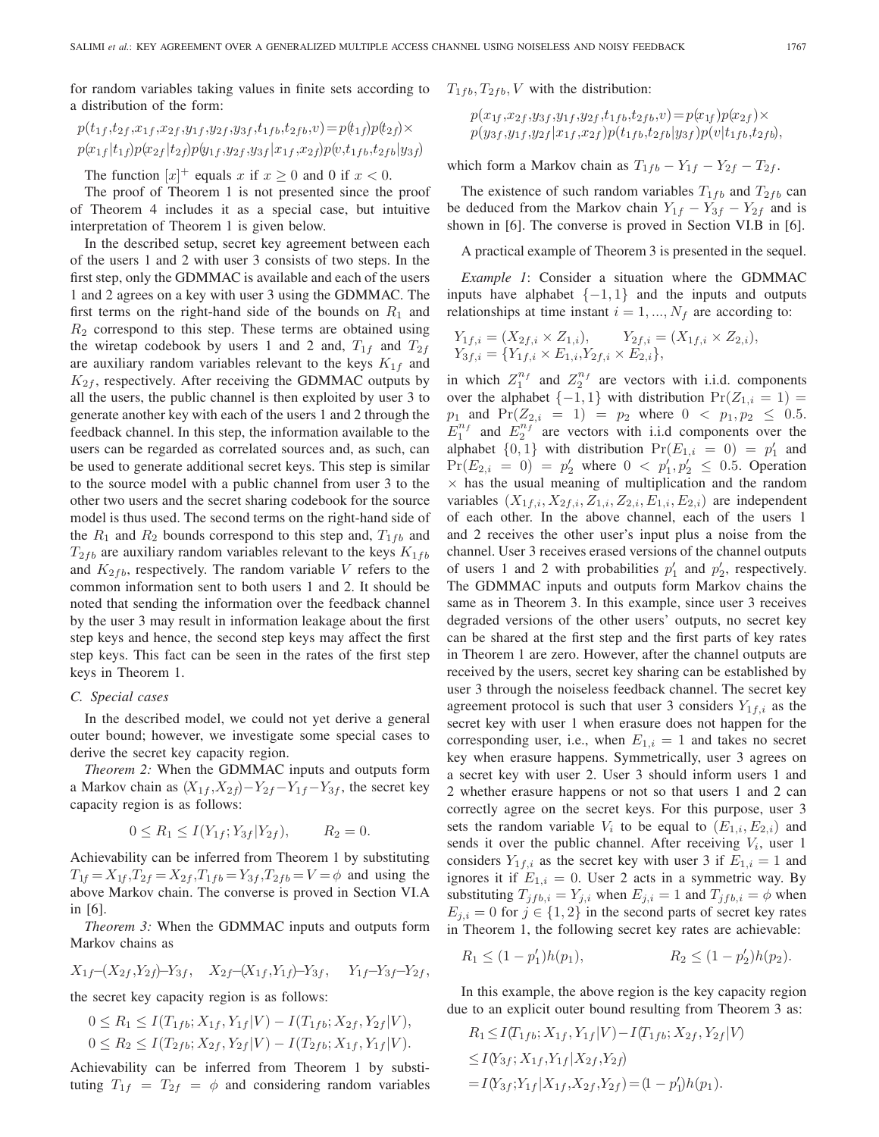for random variables taking values in finite sets according to  $T_{1fb}, T_{2fb}, V$  with the distribution: a distribution of the form:

$$
p(t_{1f}, t_{2f}, x_{1f}, x_{2f}, y_{1f}, y_{2f}, y_{3f}, t_{1fb}, t_{2fb}, v) = p(t_{1f})p(t_{2f}) \times p(x_{1f}|t_{1f})p(x_{2f}|t_{2f})p(y_{1f}, y_{2f}, y_{3f}|x_{1f}, x_{2f})p(v, t_{1fb}, t_{2fb}|y_{3f})
$$

The function  $[x]^+$  equals x if  $x \ge 0$  and 0 if  $x < 0$ .<br>The proof of Theorem 1 is not presented since the

The proof of Theorem 1 is not presented since the proof of Theorem 4 includes it as a special case, but intuitive interpretation of Theorem 1 is given below.

In the described setup, secret key agreement between each of the users 1 and 2 with user 3 consists of two steps. In the first step, only the GDMMAC is available and each of the users 1 and 2 agrees on a key with user 3 using the GDMMAC. The first terms on the right-hand side of the bounds on  $R_1$  and  $R<sub>2</sub>$  correspond to this step. These terms are obtained using the wiretap codebook by users 1 and 2 and,  $T_{1f}$  and  $T_{2f}$ are auxiliary random variables relevant to the keys  $K_{1f}$  and  $K_{2f}$ , respectively. After receiving the GDMMAC outputs by all the users, the public channel is then exploited by user 3 to generate another key with each of the users 1 and 2 through the feedback channel. In this step, the information available to the users can be regarded as correlated sources and, as such, can be used to generate additional secret keys. This step is similar to the source model with a public channel from user 3 to the other two users and the secret sharing codebook for the source model is thus used. The second terms on the right-hand side of the  $R_1$  and  $R_2$  bounds correspond to this step and,  $T_{1fb}$  and  $T_{2fb}$  are auxiliary random variables relevant to the keys  $K_{1fb}$ and  $K_{2fb}$ , respectively. The random variable V refers to the common information sent to both users 1 and 2. It should be noted that sending the information over the feedback channel by the user 3 may result in information leakage about the first step keys and hence, the second step keys may affect the first step keys. This fact can be seen in the rates of the first step keys in Theorem 1.

#### *C. Special cases*

In the described model, we could not yet derive a general outer bound; however, we investigate some special cases to derive the secret key capacity region.

*Theorem 2:* When the GDMMAC inputs and outputs form a Markov chain as  $(X_{1f}, X_{2f}) - Y_{2f} - Y_{1f} - Y_{3f}$ , the secret key capacity region is as follows:

$$
0 \le R_1 \le I(Y_{1f}; Y_{3f} | Y_{2f}), \qquad R_2 = 0.
$$

Achievability can be inferred from Theorem 1 by substituting  $T_{1f} = X_{1f}$ ,  $T_{2f} = X_{2f}$ ,  $T_{1fb} = Y_{3f}$ ,  $T_{2fb} = V = \phi$  and using the above Markov chain. The converse is proved in Section VI.A in [6].

*Theorem 3:* When the GDMMAC inputs and outputs form Markov chains as

$$
X_{1f}-(X_{2f},Y_{2f})-Y_{3f}, X_{2f}-(X_{1f},Y_{1f})-Y_{3f}, Y_{1f}-Y_{3f}-Y_{2f},
$$

the secret key capacity region is as follows:

$$
0 \le R_1 \le I(T_{1fb}; X_{1f}, Y_{1f}|V) - I(T_{1fb}; X_{2f}, Y_{2f}|V),
$$
  

$$
0 \le R_2 \le I(T_{2fb}; X_{2f}, Y_{2f}|V) - I(T_{2fb}; X_{1f}, Y_{1f}|V).
$$

Achievability can be inferred from Theorem 1 by substituting  $T_{1f} = T_{2f} = \phi$  and considering random variables

$$
p(x_{1f},x_{2f},y_{3f},y_{1f},y_{2f},t_{1fb},t_{2fb},v) = p(x_{1f})p(x_{2f}) \times p(y_{3f},y_{1f},y_{2f}|x_{1f},x_{2f})p(t_{1fb},t_{2fb}|y_{3f})p(v|t_{1fb},t_{2fb}),
$$

which form a Markov chain as  $T_{1fb} - Y_{1f} - Y_{2f} - T_{2f}$ .

The existence of such random variables  $T_{1fb}$  and  $T_{2fb}$  can be deduced from the Markov chain  $Y_{1f} - Y_{3f} - Y_{2f}$  and is shown in [6]. The converse is proved in Section VI.B in [6].

A practical example of Theorem 3 is presented in the sequel.

*Example 1*: Consider a situation where the GDMMAC inputs have alphabet  $\{-1, 1\}$  and the inputs and outputs relationships at time instant  $i = 1, ..., N_f$  are according to:

$$
Y_{1f,i} = (X_{2f,i} \times Z_{1,i}), \qquad Y_{2f,i} = (X_{1f,i} \times Z_{2,i}),
$$
  
\n
$$
Y_{3f,i} = \{Y_{1f,i} \times E_{1,i}, Y_{2f,i} \times E_{2,i}\},
$$

in which  $Z_1^{n_f}$  and  $Z_2^{n_f}$  are vectors with i.i.d. components over the alphabet  $\{-1, 1\}$  with distribution  $Pr(Z_{1,i} = 1)$  =  $p_1$  and  $Pr(Z_{2,i} = 1) = p_2$  where  $0 \lt p_1, p_2 \le 0.5$ .  $E_1^{n_f}$  and  $E_2^{n_f}$  are vectors with i.i.d components over the alphabet  $\{0, 1\}$  with distribution  $\Pr(E_{1,i} = 0) = p'_1$  and  $\Pr(E_{0,i} = 0) = p'_2$  where  $0 \leq p'_i, p'_i \leq 0.5$  Operation  $Pr(E_{2,i} = 0) = p'_2$  where  $0 \lt p'_1, p'_2 \leq 0.5$ . Operation  $\times$  has the usual meaning of multiplication and the random  $\times$  has the usual meaning of multiplication and the random variables  $(X_{1f,i}, X_{2f,i}, Z_{1,i}, Z_{2,i}, E_{1,i}, E_{2,i})$  are independent of each other. In the above channel, each of the users 1 and 2 receives the other user's input plus a noise from the channel. User 3 receives erased versions of the channel outputs of users 1 and 2 with probabilities  $p'_1$  and  $p'_2$ , respectively. The GDMMAC inputs and outputs form Markov chains the same as in Theorem 3. In this example, since user 3 receives degraded versions of the other users' outputs, no secret key can be shared at the first step and the first parts of key rates in Theorem 1 are zero. However, after the channel outputs are received by the users, secret key sharing can be established by user 3 through the noiseless feedback channel. The secret key agreement protocol is such that user 3 considers  $Y_{1,1,i}$  as the secret key with user 1 when erasure does not happen for the corresponding user, i.e., when  $E_{1,i} = 1$  and takes no secret key when erasure happens. Symmetrically, user 3 agrees on a secret key with user 2. User 3 should inform users 1 and 2 whether erasure happens or not so that users 1 and 2 can correctly agree on the secret keys. For this purpose, user 3 sets the random variable  $V_i$  to be equal to  $(E_{1,i}, E_{2,i})$  and sends it over the public channel. After receiving  $V_i$ , user 1 considers  $Y_{1f,i}$  as the secret key with user 3 if  $E_{1,i} = 1$  and ignores it if  $E_{1,i} = 0$ . User 2 acts in a symmetric way. By substituting  $T_{jfb,i} = Y_{j,i}$  when  $E_{j,i} = 1$  and  $T_{jfb,i} = \phi$  when  $E_{j,i} = 0$  for  $j \in \{1,2\}$  in the second parts of secret key rates in Theorem 1, the following secret key rates are achievable:

$$
R_1 \le (1 - p'_1)h(p_1), \qquad R_2 \le (1 - p'_2)h(p_2).
$$

In this example, the above region is the key capacity region due to an explicit outer bound resulting from Theorem 3 as:

$$
R_1 \leq I(T_{1fb}; X_{1f}, Y_{1f}|V) - I(T_{1fb}; X_{2f}, Y_{2f}|V)
$$
  
\n
$$
\leq I(Y_{3f}; X_{1f}, Y_{1f}|X_{2f}, Y_{2f})
$$
  
\n
$$
= I(Y_{3f}; Y_{1f}|X_{1f}, X_{2f}, Y_{2f}) = (1 - p'_1)h(p_1).
$$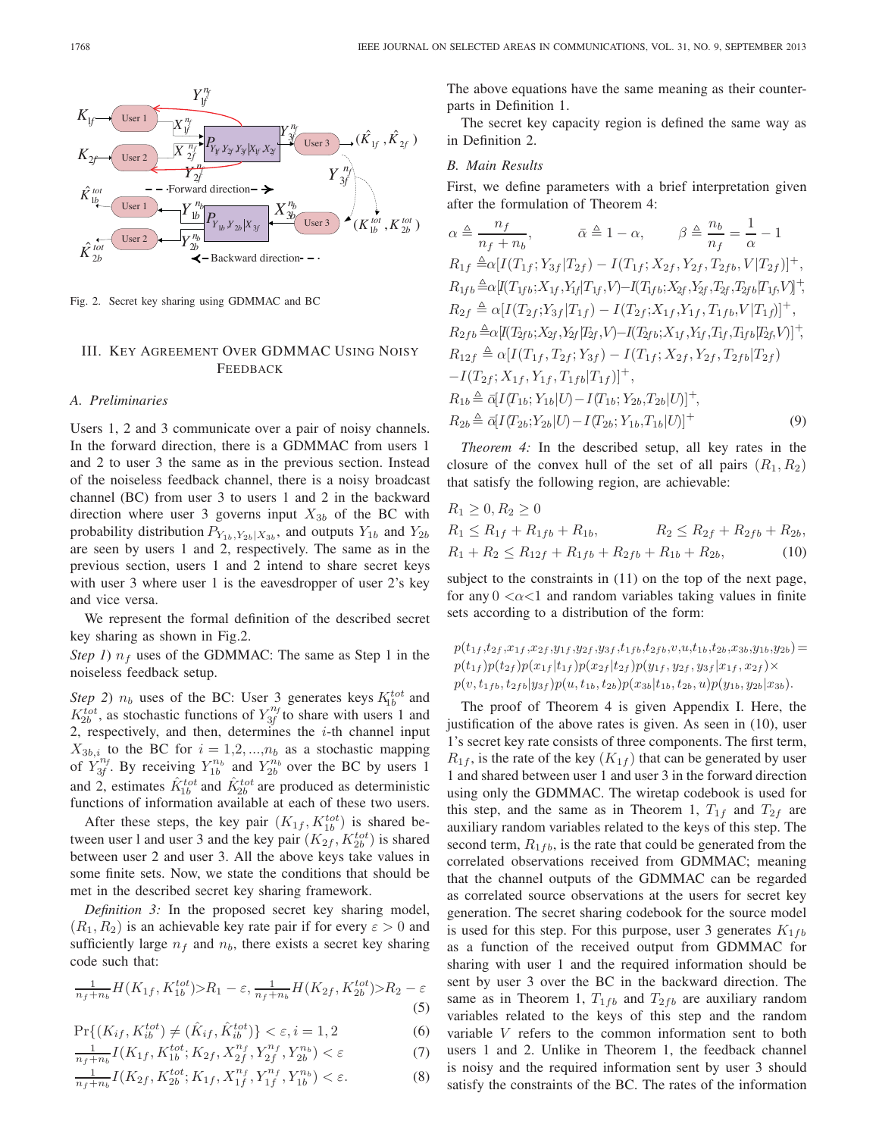

Fig. 2. Secret key sharing using GDMMAC and BC

# III. KEY AGREEMENT OVER GDMMAC USING NOISY FEEDBACK

## *A. Preliminaries*

Users 1, 2 and 3 communicate over a pair of noisy channels. In the forward direction, there is a GDMMAC from users 1 and 2 to user 3 the same as in the previous section. Instead of the noiseless feedback channel, there is a noisy broadcast channel (BC) from user 3 to users 1 and 2 in the backward direction where user 3 governs input  $X_{3b}$  of the BC with probability distribution  $P_{Y_{1b},Y_{2b}|X_{3b}}$ , and outputs  $Y_{1b}$  and  $Y_{2b}$ are seen by users 1 and 2, respectively. The same as in the previous section, users 1 and 2 intend to share secret keys with user 3 where user 1 is the eavesdropper of user 2's key and vice versa.

We represent the formal definition of the described secret key sharing as shown in Fig.2.

*Step 1*)  $n_f$  uses of the GDMMAC: The same as Step 1 in the noiseless feedback setup.

*Step* 2)  $n_b$  uses of the BC: User 3 generates keys  $K_{1b}^{tot}$  and  $K_{2b}^{tot}$ , as stochastic functions of  $Y_{3f}^{n_f}$  to share with users 1 and 2, respectively, and then, determines the  $i$ -th channel input  $X_{3b,i}$  to the BC for  $i = 1,2,...,n_b$  as a stochastic mapping of  $Y_{3f}^{n_f}$ . By receiving  $Y_{1b}^{n_b}$  and  $Y_{2b}^{n_b}$  over the BC by users 1 and 2, estimates  $\hat{K}_{1b}^{tot}$  and  $\hat{K}_{2b}^{tot}$  are produced as deterministic functions of information available at each of these two users.

After these steps, the key pair  $(K_{1f}, K_{1b}^{tot})$  is shared be-<br>een user 1 and user 3 and the key pair  $(K_{0f}, K^{tot})$  is shared tween user 1 and user 3 and the key pair  $(K_{2f}, K_{2b}^{tot})$  is shared<br>between user 2 and user 3 All the above keys take values in between user 2 and user 3. All the above keys take values in some finite sets. Now, we state the conditions that should be met in the described secret key sharing framework.

*Definition 3:* In the proposed secret key sharing model,  $(R_1, R_2)$  is an achievable key rate pair if for every  $\varepsilon > 0$  and sufficiently large  $n_f$  and  $n_b$ , there exists a secret key sharing code such that:

$$
\frac{1}{n_f + n_b} H(K_{1f}, K_{1b}^{tot}) > R_1 - \varepsilon, \frac{1}{n_f + n_b} H(K_{2f}, K_{2b}^{tot}) > R_2 - \varepsilon
$$
\n(5)

$$
\Pr\{(K_{if}, K_{ib}^{tot}) \neq (\hat{K}_{if}, \hat{K}_{ib}^{tot})\} < \varepsilon, i = 1, 2 \tag{6}
$$

$$
\frac{1}{n_f + n_b} I(K_{1f}, K_{1b}^{tot}; K_{2f}, X_{2f}^{n_f}, Y_{2f}^{n_f}, Y_{2b}^{n_b}) < \varepsilon \tag{7}
$$

$$
\frac{1}{n_f + n_b} I(K_{2f}, K_{2b}^{tot}; K_{1f}, X_{1f}^{n_f}, Y_{1f}^{n_f}, Y_{1b}^{n_b}) < \varepsilon. \tag{8}
$$

The above equations have the same meaning as their counterparts in Definition 1.

The secret key capacity region is defined the same way as in Definition 2.

## *B. Main Results*

First, we define parameters with a brief interpretation given after the formulation of Theorem 4:

$$
\alpha \triangleq \frac{n_f}{n_f + n_b}, \qquad \bar{\alpha} \triangleq 1 - \alpha, \qquad \beta \triangleq \frac{n_b}{n_f} = \frac{1}{\alpha} - 1
$$
  
\n
$$
R_{1f} \triangleq \alpha [I(T_{1f}; Y_{3f} | T_{2f}) - I(T_{1f}; X_{2f}, Y_{2f}, T_{2fb}, V | T_{2f})]^+,
$$
  
\n
$$
R_{1fb} \triangleq \alpha [I(T_{1fb}; X_{1f}, Y_{1f} | T_{1f}, V) - I(T_{1fb}; X_{2f}, Y_{2f}, T_{2f}, T_{2fb} | T_{1f}, V)]^+,
$$
  
\n
$$
R_{2f} \triangleq \alpha [I(T_{2f}; Y_{3f} | T_{1f}) - I(T_{2f}; X_{1f}, Y_{1f}, T_{1fb}, V | T_{1f})]^+,
$$
  
\n
$$
R_{2fb} \triangleq \alpha [I(T_{2fb}; X_{2f}, Y_{2f} | T_{2f}, V) - I(T_{2fb}; X_{1f}, Y_{1f}, T_{1f}, T_{1fb} | T_{2f}, V)]^+,
$$
  
\n
$$
R_{12f} \triangleq \alpha [I(T_{1f}, T_{2f}; Y_{3f}) - I(T_{1f}; X_{2f}, Y_{2f}, T_{2fb} | T_{2f}) - I(T_{2f}; X_{1f}, Y_{1f}, T_{1fb} | T_{1f})]^+,
$$
  
\n
$$
R_{1b} \triangleq \bar{\alpha} [I(T_{1b}; Y_{1b} | U) - I(T_{1b}; Y_{2b}, T_{2b} | U)]^+,
$$
  
\n
$$
R_{2b} \triangleq \bar{\alpha} [I(T_{2b}; Y_{2b} | U) - I(T_{2b}; Y_{1b}, T_{1b} | U)]^+
$$
  
\n(9)

*Theorem 4:* In the described setup, all key rates in the closure of the convex hull of the set of all pairs  $(R_1, R_2)$ that satisfy the following region, are achievable:

$$
R_1 \ge 0, R_2 \ge 0
$$
  
\n
$$
R_1 \le R_{1f} + R_{1fb} + R_{1b}, \qquad R_2 \le R_{2f} + R_{2fb} + R_{2b},
$$
  
\n
$$
R_1 + R_2 \le R_{12f} + R_{1fb} + R_{2fb} + R_{1b} + R_{2b},
$$
\n(10)

subject to the constraints in  $(11)$  on the top of the next page, for any  $0 \lt \alpha \lt 1$  and random variables taking values in finite sets according to a distribution of the form:

 $p(t_{1f}, t_{2f}, x_{1f}, x_{2f}, y_{1f}, y_{2f}, y_{3f}, t_{1fb}, t_{2fb}, v, u, t_{1b}, t_{2b}, x_{3b}, y_{1b}, y_{2b})=$  $p(t_{1f})p(t_{2f})p(x_{1f} | t_{1f})p(x_{2f} | t_{2f})p(y_{1f}, y_{2f}, y_{3f} | x_{1f}, x_{2f}) \times$  $p(v, t_{1fb}, t_{2fb}|y_{3f})p(u, t_{1b}, t_{2b})p(x_{3b}|t_{1b}, t_{2b}, u)p(y_{1b}, y_{2b}|x_{3b}).$ 

The proof of Theorem 4 is given Appendix I. Here, the justification of the above rates is given. As seen in (10), user 1's secret key rate consists of three components. The first term,  $R_{1f}$ , is the rate of the key  $(K_{1f})$  that can be generated by user 1 and shared between user 1 and user 3 in the forward direction using only the GDMMAC. The wiretap codebook is used for this step, and the same as in Theorem 1,  $T_{1f}$  and  $T_{2f}$  are auxiliary random variables related to the keys of this step. The second term,  $R_{1fb}$ , is the rate that could be generated from the correlated observations received from GDMMAC; meaning that the channel outputs of the GDMMAC can be regarded as correlated source observations at the users for secret key generation. The secret sharing codebook for the source model is used for this step. For this purpose, user 3 generates  $K_{1fb}$ as a function of the received output from GDMMAC for sharing with user 1 and the required information should be sent by user 3 over the BC in the backward direction. The same as in Theorem 1,  $T_{1fb}$  and  $T_{2fb}$  are auxiliary random variables related to the keys of this step and the random variable V refers to the common information sent to both users 1 and 2. Unlike in Theorem 1, the feedback channel is noisy and the required information sent by user 3 should satisfy the constraints of the BC. The rates of the information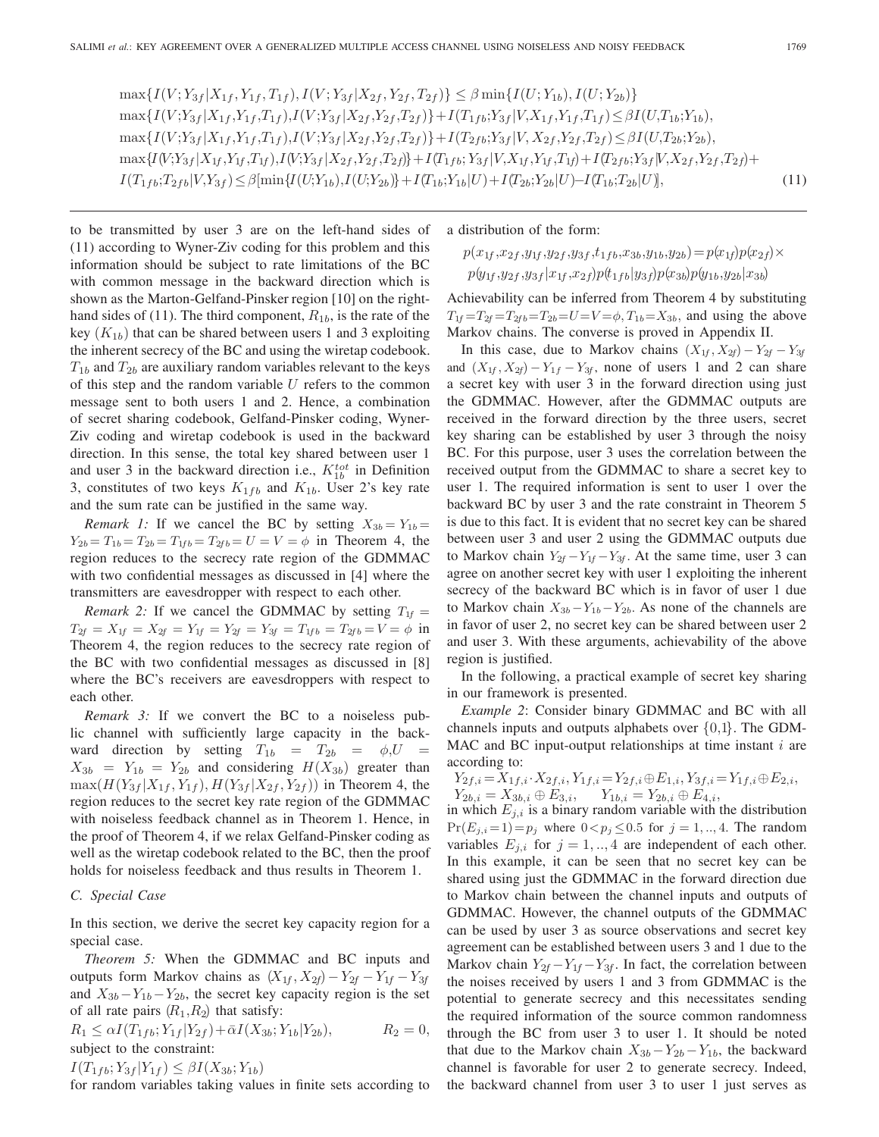$\max\{I(V; Y_{3f} | X_{1f}, Y_{1f}, T_{1f}), I(V; Y_{3f} | X_{2f}, Y_{2f}, T_{2f})\} \leq \beta \min\{I(U; Y_{1b}), I(U; Y_{2b})\}$  $\max\{I(V;Y_{3f} | X_{1f}, Y_{1f}, T_{1f}), I(V;Y_{3f} | X_{2f}, Y_{2f}, T_{2f})\} + I(T_{1fb};Y_{3f} | V, X_{1f}, Y_{1f}, T_{1f}) \leq \beta I(U,T_{1b};Y_{1b}),$  $\max\{I(V;Y_{3f} | X_{1f},Y_{1f},T_{1f}),I(V;Y_{3f} | X_{2f},Y_{2f},T_{2f})\}+I(T_{2fb};Y_{3f} | V,X_{2f},Y_{2f},T_{2f}) \leq \beta I(U,T_{2b};Y_{2b}),$ max{I(V;Y3<sup>f</sup> <sup>|</sup>X1<sup>f</sup> ,Y1<sup>f</sup> ,T1<sup>f</sup> ),I(V;Y3<sup>f</sup> <sup>|</sup>X2<sup>f</sup> ,Y2<sup>f</sup> ,T2f)}+I(T1f b; <sup>Y</sup>3<sup>f</sup> <sup>|</sup>V,X1<sup>f</sup> ,Y1<sup>f</sup> ,T1f)+I(T2f b;Y3<sup>f</sup> <sup>|</sup>V,X2<sup>f</sup> ,Y2<sup>f</sup> ,T2f)+  $I(T_1_{fb};T_2_{fb}|V,Y_3_f) \leq \beta[\min\{I(U;Y_{1b}),I(U;Y_{2b})\}+I(T_{1b};Y_{1b}|U)+I(T_{2b};Y_{2b}|U)-I(T_{1b};T_{2b}|U)\},$  (11)

to be transmitted by user 3 are on the left-hand sides of (11) according to Wyner-Ziv coding for this problem and this information should be subject to rate limitations of the BC with common message in the backward direction which is shown as the Marton-Gelfand-Pinsker region [10] on the righthand sides of (11). The third component,  $R_{1b}$ , is the rate of the key  $(K_{1b})$  that can be shared between users 1 and 3 exploiting the inherent secrecy of the BC and using the wiretap codebook.  $T_{1b}$  and  $T_{2b}$  are auxiliary random variables relevant to the keys of this step and the random variable  $U$  refers to the common message sent to both users 1 and 2. Hence, a combination of secret sharing codebook, Gelfand-Pinsker coding, Wyner-Ziv coding and wiretap codebook is used in the backward direction. In this sense, the total key shared between user 1 and user 3 in the backward direction i.e.,  $K_{1b}^{tot}$  in Definition 3, constitutes of two keys  $K_{1fb}$  and  $K_{1b}$ . User 2's key rate and the sum rate can be justified in the same way.

*Remark 1:* If we cancel the BC by setting  $X_{3b} = Y_{1b} =$  $Y_{2b}= T_{1b}= T_{2b}= T_{1fb}= T_{2fb}= U= V= \phi$  in Theorem 4, the region reduces to the secrecy rate region of the GDMMAC with two confidential messages as discussed in [4] where the transmitters are eavesdropper with respect to each other.

*Remark 2:* If we cancel the GDMMAC by setting  $T_{1f}$  =  $T_{2f} = X_{1f} = X_{2f} = Y_{1f} = Y_{2f} = Y_{3f} = T_{1fb} = T_{2fb} = V = \phi$  in Theorem 4, the region reduces to the secrecy rate region of the BC with two confidential messages as discussed in [8] where the BC's receivers are eavesdroppers with respect to each other.

*Remark 3:* If we convert the BC to a noiseless public channel with sufficiently large capacity in the backward direction by setting  $T_{1b} = T_{2b} = \phi, U =$  $X_{3b} = Y_{1b} = Y_{2b}$  and considering  $H(X_{3b})$  greater than  $\max(H(Y_{3f} | X_{1f}, Y_{1f}), H(Y_{3f} | X_{2f}, Y_{2f}))$  in Theorem 4, the region reduces to the secret key rate region of the GDMMAC with noiseless feedback channel as in Theorem 1. Hence, in the proof of Theorem 4, if we relax Gelfand-Pinsker coding as well as the wiretap codebook related to the BC, then the proof holds for noiseless feedback and thus results in Theorem 1.

## *C. Special Case*

In this section, we derive the secret key capacity region for a special case.

*Theorem 5:* When the GDMMAC and BC inputs and outputs form Markov chains as  $(X_{1f}, X_{2f}) - Y_{2f} - Y_{1f} - Y_{3f}$ and  $X_{3b}-Y_{1b}-Y_{2b}$ , the secret key capacity region is the set of all rate pairs  $(R_1, R_2)$  that satisfy:

 $R_1 \leq \alpha I(T_{1fb}; Y_{1f} | Y_{2f}) + \bar{\alpha} I(X_{3b}; Y_{1b} | Y_{2b}),$   $R_2 = 0,$ subject to the constraint:

 $I(T_{1fb}; Y_{3f} | Y_{1f}) \leq \beta I(X_{3b}; Y_{1b})$ 

for random variables taking values in finite sets according to

a distribution of the form:

$$
p(x_{1f}, x_{2f}, y_{1f}, y_{2f}, y_{3f}, t_{1fb}, x_{3b}, y_{1b}, y_{2b}) = p(x_{1f})p(x_{2f}) \times p(y_{1f}, y_{2f}, y_{3f} | x_{1f}, x_{2f})p(t_{1fb} | y_{3f})p(x_{3b})p(y_{1b}, y_{2b} | x_{3b})
$$

Achievability can be inferred from Theorem 4 by substituting  $T_{1f} = T_{2f} = T_{2f} = T_{2b} = U = V = \phi, T_{1b} = X_{3b}$ , and using the above Markov chains. The converse is proved in Appendix II.

In this case, due to Markov chains  $(X_{1f}, X_{2f}) - Y_{2f} - Y_{3f}$ and  $(X_{1f}, X_{2f}) - Y_{1f} - Y_{3f}$ , none of users 1 and 2 can share a secret key with user 3 in the forward direction using just the GDMMAC. However, after the GDMMAC outputs are received in the forward direction by the three users, secret key sharing can be established by user 3 through the noisy BC. For this purpose, user 3 uses the correlation between the received output from the GDMMAC to share a secret key to user 1. The required information is sent to user 1 over the backward BC by user 3 and the rate constraint in Theorem 5 is due to this fact. It is evident that no secret key can be shared between user 3 and user 2 using the GDMMAC outputs due to Markov chain  $Y_{2f} - Y_{1f} - Y_{3f}$ . At the same time, user 3 can agree on another secret key with user 1 exploiting the inherent secrecy of the backward BC which is in favor of user 1 due to Markov chain  $X_{3b}-Y_{1b}-Y_{2b}$ . As none of the channels are in favor of user 2, no secret key can be shared between user 2 and user 3. With these arguments, achievability of the above region is justified.

In the following, a practical example of secret key sharing in our framework is presented.

*Example 2*: Consider binary GDMMAC and BC with all channels inputs and outputs alphabets over  $\{0,1\}$ . The GDM-MAC and BC input-output relationships at time instant  $i$  are according to:

$$
Y_{2f,i} = X_{1f,i} \cdot X_{2f,i}, Y_{1f,i} = Y_{2f,i} \oplus E_{1,i}, Y_{3f,i} = Y_{1f,i} \oplus E_{2,i},
$$
  
\n
$$
Y_{2h,i} = X_{3h,i} \oplus E_{3,i}, Y_{1h,i} = Y_{2h,i} \oplus E_{4,i},
$$

 $Y_{2b,i} = X_{3b,i} \oplus E_{3,i},$   $Y_{1b,i} = Y_{2b,i} \oplus E_{4,i},$ <br>in which  $E_{j,i}$  is a binary random variable with the distribution  $Pr(E_{j,i}=1)=p_j$  where  $0 < p_j \le 0.5$  for  $j = 1, ..., 4$ . The random variables  $E_{j,i}$  for  $j = 1, \dots, 4$  are independent of each other. In this example, it can be seen that no secret key can be shared using just the GDMMAC in the forward direction due to Markov chain between the channel inputs and outputs of GDMMAC. However, the channel outputs of the GDMMAC can be used by user 3 as source observations and secret key agreement can be established between users 3 and 1 due to the Markov chain  $Y_{2f} - Y_{1f} - Y_{3f}$ . In fact, the correlation between the noises received by users 1 and 3 from GDMMAC is the potential to generate secrecy and this necessitates sending the required information of the source common randomness through the BC from user 3 to user 1. It should be noted that due to the Markov chain  $X_{3b}-Y_{2b}-Y_{1b}$ , the backward channel is favorable for user 2 to generate secrecy. Indeed, the backward channel from user 3 to user 1 just serves as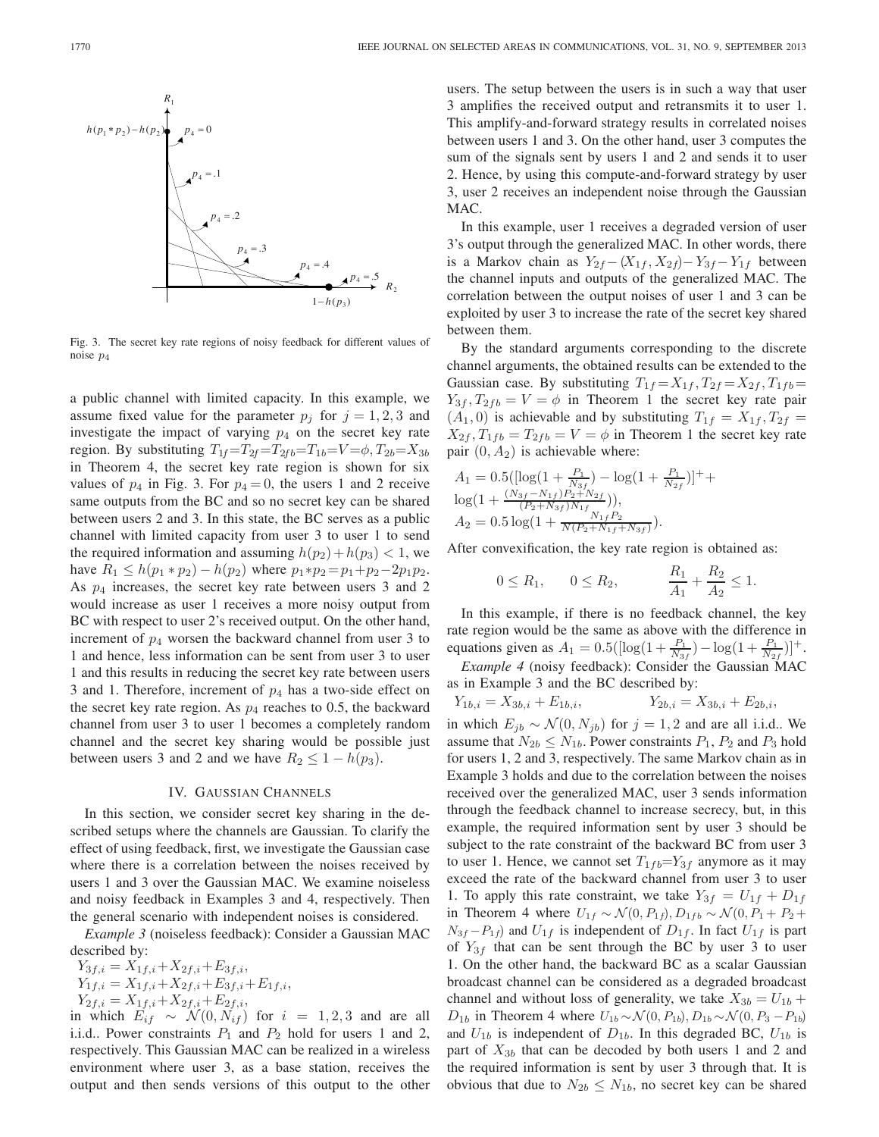

Fig. 3. The secret key rate regions of noisy feedback for different values of noise *p*4

a public channel with limited capacity. In this example, we assume fixed value for the parameter  $p_i$  for  $j = 1, 2, 3$  and investigate the impact of varying  $p_4$  on the secret key rate region. By substituting  $T_{1f}=T_{2f}=T_{2fb}=T_{1b}=V=\phi, T_{2b}=X_{3b}$ in Theorem 4, the secret key rate region is shown for six values of  $p_4$  in Fig. 3. For  $p_4 = 0$ , the users 1 and 2 receive same outputs from the BC and so no secret key can be shared between users 2 and 3. In this state, the BC serves as a public channel with limited capacity from user 3 to user 1 to send the required information and assuming  $h(p_2)+h(p_3) < 1$ , we have  $R_1 \leq h(p_1 * p_2) - h(p_2)$  where  $p_1 * p_2 = p_1 + p_2 - 2p_1p_2$ . As  $p_4$  increases, the secret key rate between users 3 and 2 would increase as user 1 receives a more noisy output from BC with respect to user 2's received output. On the other hand, increment of  $p_4$  worsen the backward channel from user 3 to 1 and hence, less information can be sent from user 3 to user 1 and this results in reducing the secret key rate between users 3 and 1. Therefore, increment of  $p_4$  has a two-side effect on the secret key rate region. As  $p_4$  reaches to 0.5, the backward channel from user 3 to user 1 becomes a completely random channel and the secret key sharing would be possible just between users 3 and 2 and we have  $R_2 \leq 1 - h(p_3)$ .

### IV. GAUSSIAN CHANNELS

In this section, we consider secret key sharing in the described setups where the channels are Gaussian. To clarify the effect of using feedback, first, we investigate the Gaussian case where there is a correlation between the noises received by users 1 and 3 over the Gaussian MAC. We examine noiseless and noisy feedback in Examples 3 and 4, respectively. Then the general scenario with independent noises is considered.

*Example 3* (noiseless feedback): Consider a Gaussian MAC described by:

 $Y_{3f,i} = X_{1f,i} + X_{2f,i} + E_{3f,i},$  $Y_{1f,i} = X_{1f,i} + X_{2f,i} + E_{3f,i} + E_{1f,i},$  $Y_{2f,i} = X_{1f,i} + X_{2f,i} + E_{2f,i},$ <br>which  $E_{i,f} \sim N(0, N_{i,f})$ 

in which  $E_{if} \sim \mathcal{N}(0, N_{if})$  for  $i = 1, 2, 3$  and are all<br>i.i.d. Power constraints  $P_i$  and  $P_2$  hold for users 1 and 2 i.i.d.. Power constraints  $P_1$  and  $P_2$  hold for users 1 and 2, respectively. This Gaussian MAC can be realized in a wireless environment where user 3, as a base station, receives the output and then sends versions of this output to the other

users. The setup between the users is in such a way that user 3 amplifies the received output and retransmits it to user 1. This amplify-and-forward strategy results in correlated noises between users 1 and 3. On the other hand, user 3 computes the sum of the signals sent by users 1 and 2 and sends it to user 2. Hence, by using this compute-and-forward strategy by user 3, user 2 receives an independent noise through the Gaussian MAC.

In this example, user 1 receives a degraded version of user 3's output through the generalized MAC. In other words, there is a Markov chain as  $Y_{2f} - (X_{1f}, X_{2f}) - Y_{3f} - Y_{1f}$  between the channel inputs and outputs of the generalized MAC. The correlation between the output noises of user 1 and 3 can be exploited by user 3 to increase the rate of the secret key shared between them.

By the standard arguments corresponding to the discrete channel arguments, the obtained results can be extended to the Gaussian case. By substituting  $T_{1f} = X_{1f}$ ,  $T_{2f} = X_{2f}$ ,  $T_{1fb} =$  $Y_{3f}$ ,  $T_{2fb} = V = \phi$  in Theorem 1 the secret key rate pair  $(A_1, 0)$  is achievable and by substituting  $T_{1f} = X_{1f}$ ,  $T_{2f} =$  $X_{2f}$ ,  $T_{1fb} = T_{2fb} = V = \phi$  in Theorem 1 the secret key rate pair  $(0, A_2)$  is achievable where:

$$
A_1 = 0.5\left( \left[ \log\left(1 + \frac{P_1}{N_3 f} \right) - \log\left(1 + \frac{P_1}{N_2 f} \right) \right] + \log\left(1 + \frac{(N_{3f} - N_{1f})P_2 + N_{2f}}{(P_2 + N_{3f})N_{1f}} \right) \right),
$$
  
\n
$$
A_2 = 0.5 \log\left(1 + \frac{N_{1f}P_2}{N(P_2 + N_{1f} + N_{3f})}\right).
$$

After convexification, the key rate region is obtained as:

$$
0 \le R_1
$$
,  $0 \le R_2$ ,  $\frac{R_1}{A_1} + \frac{R_2}{A_2} \le 1$ .

In this example, if there is no feedback channel, the key rate region would be the same as above with the difference in equations given as  $A_1 = 0.5([\log(1 + \frac{P_1}{N_3}) - \log(1 + \frac{P_1}{N_2})]^+$ .<br>Frample 4 (poisy feedback): Consider the Gaussian MAC

*Example 4* (noisy feedback): Consider the Gaussian MAC as in Example 3 and the BC described by:

$$
Y_{1b,i} = X_{3b,i} + E_{1b,i}, \qquad Y_{2b,i} = X_{3b,i} + E_{2b,i},
$$

in which  $E_{jb} \sim \mathcal{N}(0, N_{jb})$  for  $j = 1, 2$  and are all i.i.d.. We assume that  $N_{ci} \leq N_{ci}$ . Bower constraints  $P_i$ ,  $P_2$  and  $P_3$  hold assume that  $N_{2b} \leq N_{1b}$ . Power constraints  $P_1$ ,  $P_2$  and  $P_3$  hold for users 1, 2 and 3, respectively. The same Markov chain as in Example 3 holds and due to the correlation between the noises received over the generalized MAC, user 3 sends information through the feedback channel to increase secrecy, but, in this example, the required information sent by user 3 should be subject to the rate constraint of the backward BC from user 3 to user 1. Hence, we cannot set  $T_{1fb} = Y_{3f}$  anymore as it may exceed the rate of the backward channel from user 3 to user 1. To apply this rate constraint, we take  $Y_{3f} = U_{1f} + D_{1f}$ in Theorem 4 where  $U_{1f} \sim \mathcal{N}(0, P_{1f}), D_{1fb} \sim \mathcal{N}(0, P_1 + P_2 +$  $N_{3f} - P_{1f}$  and  $U_{1f}$  is independent of  $D_{1f}$ . In fact  $U_{1f}$  is part of  $Y_{3f}$  that can be sent through the BC by user 3 to user 1. On the other hand, the backward BC as a scalar Gaussian broadcast channel can be considered as a degraded broadcast channel and without loss of generality, we take  $X_{3b} = U_{1b} +$  $D_{1b}$  in Theorem 4 where  $U_{1b} \sim \mathcal{N}(0, P_{1b}), D_{1b} \sim \mathcal{N}(0, P_3 - P_{1b})$ and  $U_{1b}$  is independent of  $D_{1b}$ . In this degraded BC,  $U_{1b}$  is part of  $X_{3b}$  that can be decoded by both users 1 and 2 and the required information is sent by user 3 through that. It is obvious that due to  $N_{2b} \leq N_{1b}$ , no secret key can be shared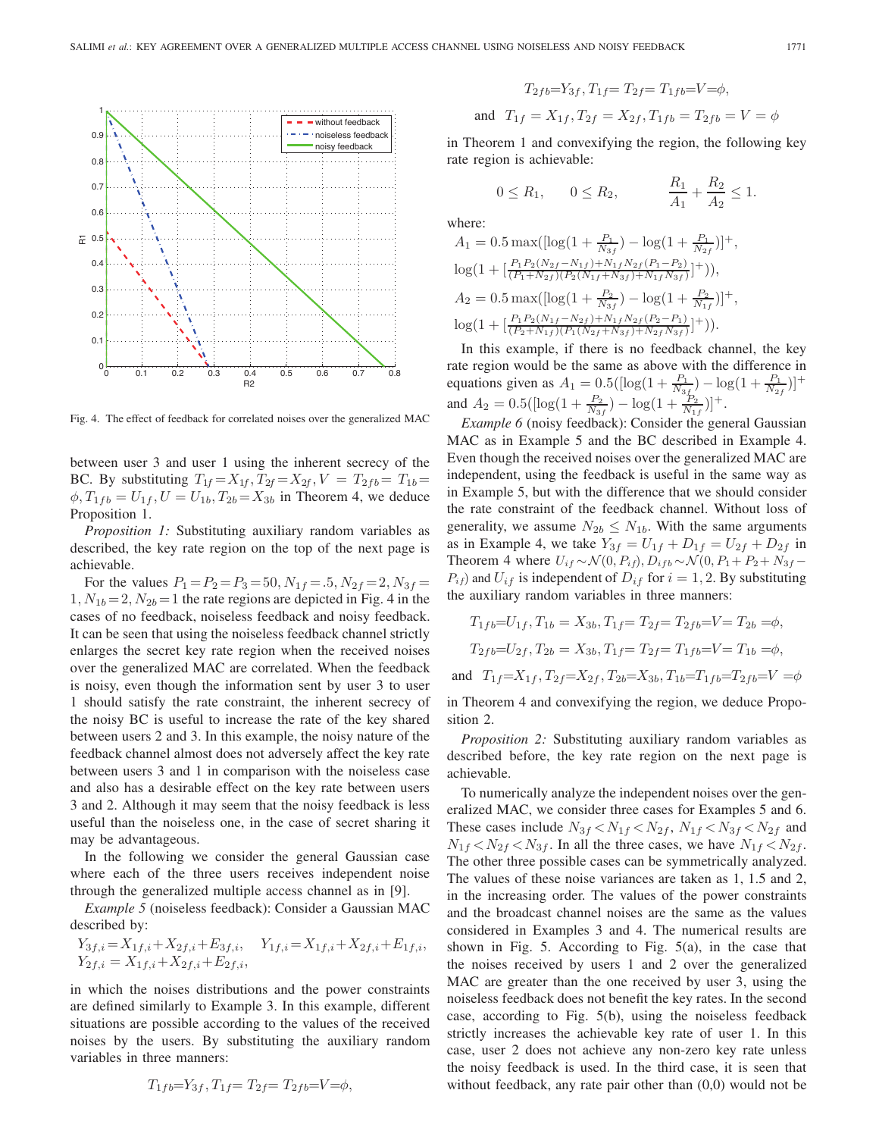

Fig. 4. The effect of feedback for correlated noises over the generalized MAC

between user 3 and user 1 using the inherent secrecy of the BC. By substituting  $T_{1f} = X_{1f}$ ,  $T_{2f} = X_{2f}$ ,  $V = T_{2fb} = T_{1b} =$  $\phi$ ,  $T_{1fb} = U_{1f}$ ,  $U = U_{1b}$ ,  $T_{2b} = X_{3b}$  in Theorem 4, we deduce Proposition 1.

*Proposition 1:* Substituting auxiliary random variables as described, the key rate region on the top of the next page is achievable.

For the values  $P_1 = P_2 = P_3 = 50, N_{1f} = .5, N_{2f} = 2, N_{3f} =$  $1, N_{1b}= 2, N_{2b}= 1$  the rate regions are depicted in Fig. 4 in the cases of no feedback, noiseless feedback and noisy feedback. It can be seen that using the noiseless feedback channel strictly enlarges the secret key rate region when the received noises over the generalized MAC are correlated. When the feedback is noisy, even though the information sent by user 3 to user 1 should satisfy the rate constraint, the inherent secrecy of the noisy BC is useful to increase the rate of the key shared between users 2 and 3. In this example, the noisy nature of the feedback channel almost does not adversely affect the key rate between users 3 and 1 in comparison with the noiseless case and also has a desirable effect on the key rate between users 3 and 2. Although it may seem that the noisy feedback is less useful than the noiseless one, in the case of secret sharing it may be advantageous.

In the following we consider the general Gaussian case where each of the three users receives independent noise through the generalized multiple access channel as in [9].

*Example 5* (noiseless feedback): Consider a Gaussian MAC described by:

$$
Y_{3f,i} = X_{1f,i} + X_{2f,i} + E_{3f,i}, \quad Y_{1f,i} = X_{1f,i} + X_{2f,i} + E_{1f,i},
$$
  

$$
Y_{2f,i} = X_{1f,i} + X_{2f,i} + E_{2f,i},
$$

in which the noises distributions and the power constraints are defined similarly to Example 3. In this example, different situations are possible according to the values of the received noises by the users. By substituting the auxiliary random variables in three manners:

$$
T_{1fb} = Y_{3f}, T_{1f} = T_{2f} = T_{2fb} = V = \phi,
$$

$$
T_{2fb} = Y_{3f}, T_{1f} = T_{2f} = T_{1fb} = V = \phi,
$$
  
and  $T_{1f} = X_{1f}, T_{2f} = X_{2f}, T_{1fb} = T_{2fb} = V = \phi$ 

in Theorem 1 and convexifying the region, the following key rate region is achievable:

$$
0 \le R_1
$$
,  $0 \le R_2$ ,  $\frac{R_1}{A_1} + \frac{R_2}{A_2} \le 1$ .

where:

$$
A_1 = 0.5 \max\left( [\log\left(1 + \frac{P_1}{N_{3f}}\right) - \log\left(1 + \frac{P_1}{N_{2f}}\right) ]^+, \right. \n\log\left(1 + \left[ \frac{P_1 P_2 (N_{2f} - N_{1f}) + N_{1f} N_{2f} (P_1 - P_2)}{(P_1 + N_{2f})(P_2 (N_{1f} + N_{3f}) + N_{1f} N_{3f})} ]^+\right)\right), \nA_2 = 0.5 \max\left( [\log\left(1 + \frac{P_2}{N_{3f}}\right) - \log\left(1 + \frac{P_2}{N_{1f}}\right) ]^+, \right. \n\log\left(1 + \left[ \frac{P_1 P_2 (N_{1f} - N_{2f}) + N_{1f} N_{2f} (P_2 - P_1)}{(P_2 + N_{1f})(P_1 (N_{2f} + N_{3f}) + N_{2f} N_{3f})} ]^+\right)\right).
$$

In this example, if there is no feedback channel, the key rate region would be the same as above with the difference in equations given as  $A_1 = 0.5([\log(1 + \frac{P_1}{N_3f}) - \log(1 + \frac{P_1}{N_2f})]^+$ and  $A_2 = 0.5($ [log(1 +  $\frac{P_2}{N_3f}$ ) – log(1 +  $\frac{P_2}{N_1f}$ )<sup>+</sup>.

*Example 6* (noisy feedback): Consider the general Gaussian MAC as in Example 5 and the BC described in Example 4. Even though the received noises over the generalized MAC are independent, using the feedback is useful in the same way as in Example 5, but with the difference that we should consider the rate constraint of the feedback channel. Without loss of generality, we assume  $N_{2b} \leq N_{1b}$ . With the same arguments as in Example 4, we take  $Y_{3f} = U_{1f} + D_{1f} = U_{2f} + D_{2f}$  in Theorem 4 where  $U_{if} \sim \mathcal{N}(0, P_{if}), D_{ifb} \sim \mathcal{N}(0, P_1 + P_2 + N_{3f} P_{if}$ ) and  $U_{if}$  is independent of  $D_{if}$  for  $i = 1, 2$ . By substituting the auxiliary random variables in three manners:

$$
T_{1fb} = U_{1f}, T_{1b} = X_{3b}, T_{1f} = T_{2f} = T_{2fb} = V = T_{2b} = \phi,
$$
  
\n
$$
T_{2fb} = U_{2f}, T_{2b} = X_{3b}, T_{1f} = T_{2f} = T_{1fb} = V = T_{1b} = \phi,
$$
  
\nand 
$$
T_{1f} = X_{1f}, T_{2f} = X_{2f}, T_{2b} = X_{3b}, T_{1b} = T_{1fb} = T_{2fb} = V = \phi
$$

in Theorem 4 and convexifying the region, we deduce Proposition 2.

*Proposition 2:* Substituting auxiliary random variables as described before, the key rate region on the next page is achievable.

To numerically analyze the independent noises over the generalized MAC, we consider three cases for Examples 5 and 6. These cases include  $N_{3f} < N_{1f} < N_{2f}$ ,  $N_{1f} < N_{3f} < N_{2f}$  and  $N_{1f} < N_{2f} < N_{3f}$ . In all the three cases, we have  $N_{1f} < N_{2f}$ . The other three possible cases can be symmetrically analyzed. The values of these noise variances are taken as 1, 1.5 and 2, in the increasing order. The values of the power constraints and the broadcast channel noises are the same as the values considered in Examples 3 and 4. The numerical results are shown in Fig. 5. According to Fig. 5(a), in the case that the noises received by users 1 and 2 over the generalized MAC are greater than the one received by user 3, using the noiseless feedback does not benefit the key rates. In the second case, according to Fig. 5(b), using the noiseless feedback strictly increases the achievable key rate of user 1. In this case, user 2 does not achieve any non-zero key rate unless the noisy feedback is used. In the third case, it is seen that without feedback, any rate pair other than  $(0,0)$  would not be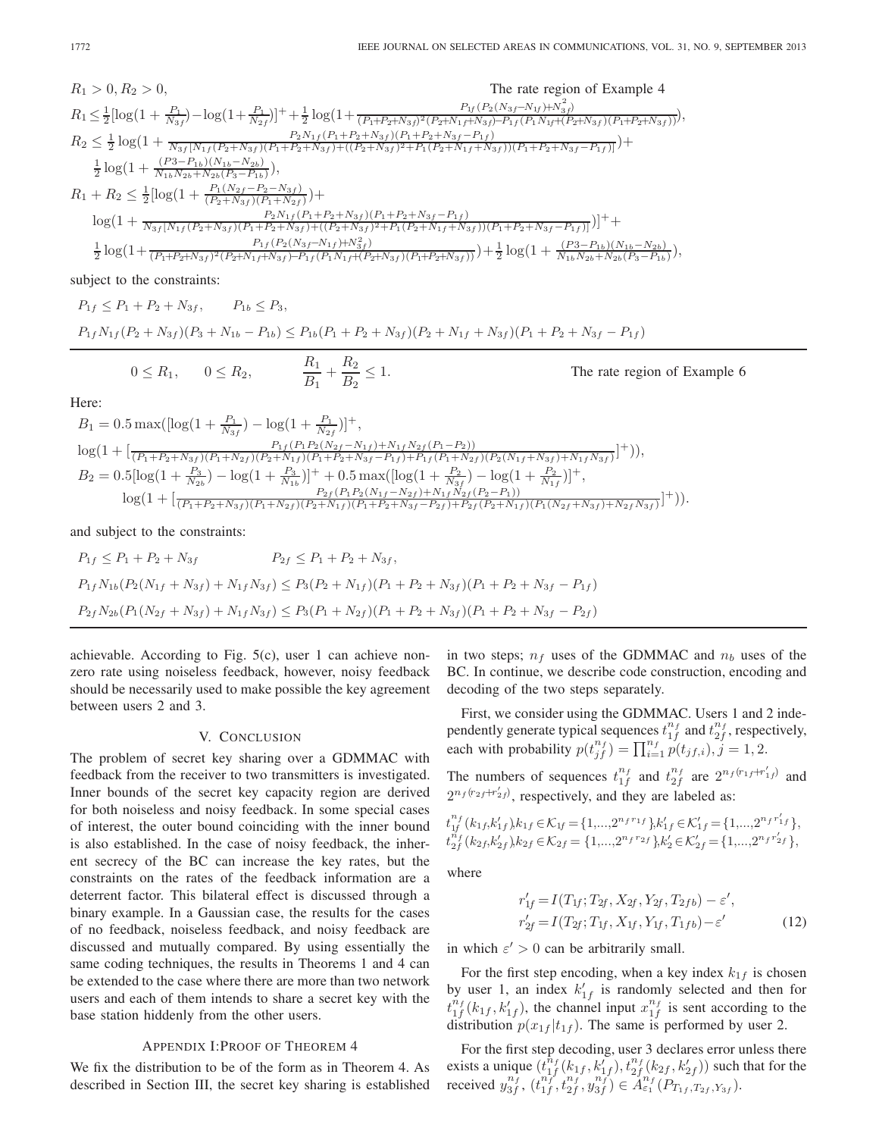$$
\begin{array}{ll} R_1>0, R_2>0, & \mbox{The rate region of Example 4} \\ R_1 \leq \frac{1}{2}[\log(1+\frac{P_1}{N_{3f}})-\log(1+\frac{P_1}{N_{2f}})]^+ + \frac{1}{2}\log(1+\frac{P_{1F_{3f}}P_{3f}}{(P_1+P_2+N_{3f})^2(P_2+N_{1f}+N_{3f})-P_{1f}(P_1N_{1f}+P_2+N_{3f})(P_1+P_2+N_{3f})}) ),\\ R_2 \leq \frac{1}{2}\log(1+\frac{P_{3f}[N_{1f}(P_2+N_{3f})(P_1+P_2+N_{3f})+(P_1+P_2+N_{3f}-P_{1f})}{N_{3f}[N_{1f}(P_2+N_{3f})(P_1+P_2+N_{3f})+(P_2+N_{3f})^2+P_1(P_2+N_{1f}+N_{3f}))(P_1+P_2+N_{3f}-P_{1f})} ) +\\ \frac{1}{2}\log(1+\frac{(P_3-P_{1b})(N_{1b}-N_{2b})}{N_{1b}N_{2b}+N_{2b}(P_3-P_{1b})}),\\ R_1+R_2 \leq \frac{1}{2}[\log(1+\frac{P_1(N_{2f}-P_2-N_{3f})}{(P_2+N_{3f})(P_1+N_{2f})})^+ \\ & \log(1+\frac{P_2N_{1f}(P_1+P_2+N_{3f})(P_1+P_2+N_{3f}-P_{1f})}{N_{3f}[N_{1f}(P_2+N_{3f})(P_1+P_2+N_{3f})^2+P_1(P_2+N_{1f}+N_{3f})(P_1+P_2+N_{3f}-P_{1f})] }) ]^+ +\\ \frac{P_{1f}(P_2(N_{3f}-N_{1f})+N_{3f}^2)}{2}\log(1+\frac{P_{1f}(P_2(N_{3f}-N_{1f})+N_{3f}^2)}{(P_1+P_2+N_{3f})(P_1+P_2+N_{3f})(P_1+P_2+N_{3f})})} +\frac{1}{2}\log(1+\frac{(P_3-P_{1b})(N_{1b}-N_{2b})}{N_{1b}N_{2b}+N_{2b}(P_3-P_{1b})}),\\ \end{array}
$$

subject to the constraints:

$$
P_{1f} \le P_1 + P_2 + N_{3f}, \qquad P_{1b} \le P_3,
$$
  

$$
P_{1f} N_{1f} (P_2 + N_{3f})(P_3 + N_{1b} - P_{1b}) \le P_{1b} (P_1 + P_2 + N_{3f})(P_2 + N_{1f} + N_{3f})(P_1 + P_2 + N_{3f} - P_{1f})
$$

$$
0 \le R_1
$$
,  $0 \le R_2$ ,  $\frac{R_1}{B_1} + \frac{R_2}{B_2} \le 1$ . The rate region of Example 6

Here:

$$
B_1 = 0.5 \max(\left[\log(1 + \frac{P_1}{N_{3f}}) - \log(1 + \frac{P_1}{N_{2f}})\right]^+,
$$
  
\n
$$
\log(1 + \left[\frac{P_1(P_1P_2(N_{2f} - N_{1f}) + N_{1f}N_{2f}(P_1 - P_2))}{(P_1 + P_2 + N_{3f})(P_1 + N_{2f})(P_2 + N_{1f})(P_1 + P_2 + N_{3f} - P_{1f}) + P_{1f}(P_1 + N_{2f})(P_2(N_{1f} + N_{3f}) + N_{1f}N_{3f})}\right]^+)),
$$
  
\n
$$
B_2 = 0.5[\log(1 + \frac{P_3}{N_{2b}}) - \log(1 + \frac{P_3}{N_{1b}})]^+ + 0.5 \max(\left[\log(1 + \frac{P_2}{N_{3f}}) - \log(1 + \frac{P_2}{N_{1f}})\right]^+,
$$
  
\n
$$
\frac{P_{2f}(P_1P_2(N_{1f} - N_{2f}) + N_{1f}N_{2f}(P_2 - P_1))}{(P_1 + P_2 + N_{3f})(P_1 + N_{2f})(P_2 + N_{1f})(P_1 + P_2 + N_{3f} - P_{2f}) + P_{2f}(P_2 + N_{1f})(P_1(N_{2f} + N_{3f}) + N_{2f}N_{3f})}]^+)).
$$

and subject to the constraints:

$$
P_{1f} \le P_1 + P_2 + N_{3f} \qquad P_{2f} \le P_1 + P_2 + N_{3f},
$$
  
\n
$$
P_{1f}N_{1b}(P_2(N_{1f} + N_{3f}) + N_{1f}N_{3f}) \le P_3(P_2 + N_{1f})(P_1 + P_2 + N_{3f})(P_1 + P_2 + N_{3f} - P_{1f})
$$
  
\n
$$
P_{2f}N_{2b}(P_1(N_{2f} + N_{3f}) + N_{1f}N_{3f}) \le P_3(P_1 + N_{2f})(P_1 + P_2 + N_{3f})(P_1 + P_2 + N_{3f} - P_{2f})
$$

achievable. According to Fig. 5(c), user 1 can achieve nonzero rate using noiseless feedback, however, noisy feedback should be necessarily used to make possible the key agreement between users 2 and 3.

### V. CONCLUSION

The problem of secret key sharing over a GDMMAC with feedback from the receiver to two transmitters is investigated. Inner bounds of the secret key capacity region are derived for both noiseless and noisy feedback. In some special cases of interest, the outer bound coinciding with the inner bound is also established. In the case of noisy feedback, the inherent secrecy of the BC can increase the key rates, but the constraints on the rates of the feedback information are a deterrent factor. This bilateral effect is discussed through a binary example. In a Gaussian case, the results for the cases of no feedback, noiseless feedback, and noisy feedback are discussed and mutually compared. By using essentially the same coding techniques, the results in Theorems 1 and 4 can be extended to the case where there are more than two network users and each of them intends to share a secret key with the base station hiddenly from the other users.

## APPENDIX I:PROOF OF THEOREM 4

We fix the distribution to be of the form as in Theorem 4. As described in Section III, the secret key sharing is established

in two steps;  $n_f$  uses of the GDMMAC and  $n_b$  uses of the BC. In continue, we describe code construction, encoding and decoding of the two steps separately.

First, we consider using the GDMMAC. Users 1 and 2 independently generate typical sequences  $t_{1f}^{n_f}$  and  $t_{2f}^{n_f}$ , respectively, each with probability  $p(t_{jf}^{n_f}) = \prod_{i=1}^{n_f} p(t_{jf,i}), j = 1, 2.$ 

The numbers of sequences  $t_1^{n_f}$  and  $t_2^{n_f}$  are  $2^{n_f(r_1+r'_1)}$  and  $2^{n_f(r_2+r'_2)}$  $2^{n_f(r_{2f}+r'_{2f})}$ , respectively, and they are labeled as:

$$
t_{1f}^{n_f}(k_{1f}, k'_{1f})k_{1f} \in \mathcal{K}_{1f} = \{1, ..., 2^{n_f r_{1f}}\} k'_{1f} \in \mathcal{K}'_{1f} = \{1, ..., 2^{n_f r'_{1f}}\},
$$
  

$$
t_{2f}^{n_f}(k_{2f}, k'_{2f})k_{2f} \in \mathcal{K}_{2f} = \{1, ..., 2^{n_f r_{2f}}\} k'_{2} \in \mathcal{K}'_{2f} = \{1, ..., 2^{n_f r'_{2f}}\},
$$

where

$$
r'_{1f} = I(T_{1f}; T_{2f}, X_{2f}, Y_{2f}, T_{2fb}) - \varepsilon',
$$
  
\n
$$
r'_{2f} = I(T_{2f}; T_{1f}, X_{1f}, Y_{1f}, T_{1fb}) - \varepsilon'
$$
 (12)

in which  $\varepsilon' > 0$  can be arbitrarily small.

For the first step encoding, when a key index  $k_{1f}$  is chosen by user 1, an index  $k'_{1f}$  is randomly selected and then for  $t_{1f}^{n_f}(k_{1f}, k'_{1f})$ , the channel input  $x_{1f}^{n_f}$  is sent according to the distribution  $p(x, t|x)$ . The same is performed by user 2 distribution  $p(x_{1f} | t_{1f})$ . The same is performed by user 2.

For the first step decoding, user 3 declares error unless there exists a unique  $(t_{1f}^{n_f}(k_{1f}, k'_{1f}), t_{2f}^{n_f}(k_{2f}, k'_{2f}))$  such that for the received  $y_{3f}^{n_f}$ ,  $(t_{1f}^{n_f}, t_{2f}^{n_f}, y_{3f}^{n_f}) \in A_{\epsilon_1}^{n_f}(P_{T_{1f}, T_{2f}, Y_{3f}})$ .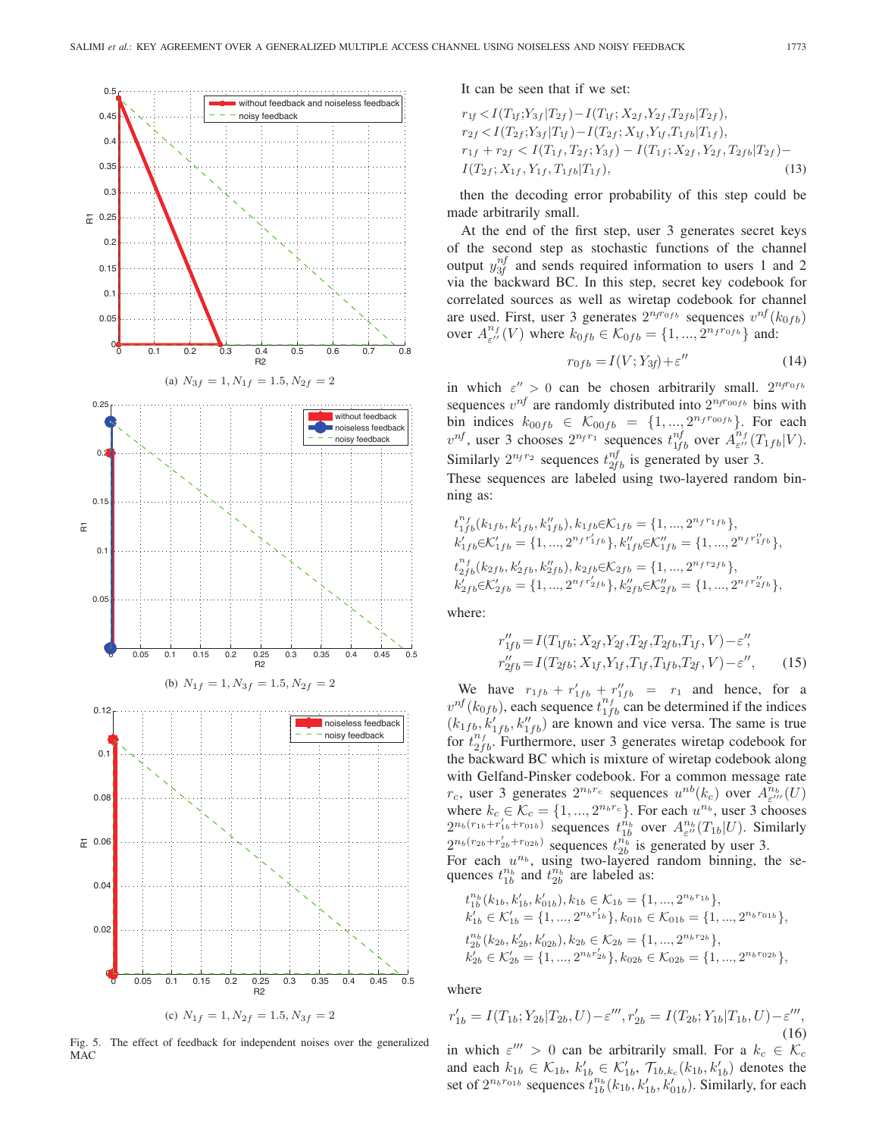

Fig. 5. The effect of feedback for independent noises over the generalized MAC

It can be seen that if we set:

$$
r_{1f} < I(T_{1f}; Y_{3f} | T_{2f}) - I(T_{1f}; X_{2f}, Y_{2f}, T_{2fb} | T_{2f}),
$$
\n
$$
r_{2f} < I(T_{2f}; Y_{3f} | T_{1f}) - I(T_{2f}; X_{1f}, Y_{1f}, T_{1fb} | T_{1f}),
$$
\n
$$
r_{1f} + r_{2f} < I(T_{1f}, T_{2f}; Y_{3f}) - I(T_{1f}; X_{2f}, Y_{2f}, T_{2fb} | T_{2f}) - I(T_{2f}; X_{1f}, Y_{1f}, T_{1fb} | T_{1f}),
$$
\n
$$
(13)
$$

then the decoding error probability of this step could be made arbitrarily small.

At the end of the first step, user 3 generates secret keys of the second step as stochastic functions of the channel output  $y_{3f}^{nf}$  and sends required information to users 1 and 2 via the backward BC. In this step, secret key codebook for correlated sources as well as wiretap codebook for channel are used. First, user 3 generates  $2^{n_f r_{0f}}$  sequences  $v^{nf}(k_{0f}$ over  $A^{n_f}_{\varepsilon''}(V)$  where  $k_{0fb} \in \mathcal{K}_{0fb} = \{1, ..., 2^{n_f r_{0fb}}\}$  and:

$$
r_{0fb} = I(V; Y_{3f}) + \varepsilon''
$$
\n(14)

in which  $\varepsilon'' > 0$  can be chosen arbitrarily small.  $2^{n_f r_0}$  *sequences*  $v^{nf}$  are randomly distributed into  $2^{n_f r_0}$  by hins with sequences  $v^{nf}$  are randomly distributed into  $2^{nf_{00fb}}$  bins with bin indices  $k_{00fb} \in \mathcal{K}_{00fb} = \{1, ..., 2^{n_f r_{00fb}}\}$ . For each  $v^{nf}$ , user 3 chooses  $2^{nf^{n_1}}$  sequences  $t^{nf}_{1f}$  over  $A^{nf}_{1f}(T_{1fb}|V)$ .<br>Similarly  $2^{nf^{n_2}}$  sequences  $t^{nf}$  is separated by user 2 Similarly  $2^{n_f r_2}$  sequences  $t_{2f}^{nf}$  is generated by user 3.<br>These sequences are labeled using two layered random

These sequences are labeled using two-layered random binning as:

$$
t_{1fb}^{n_f}(k_{1fb}, k'_{1fb}, k''_{1fb}), k_{1fb} \in K_{1fb} = \{1, ..., 2^{n_f r_1 fb}\},
$$
  
\n
$$
k'_{1fb} \in K'_{1fb} = \{1, ..., 2^{n_f r'_1 fb}\}, k''_{1fb} \in K''_{1fb} = \{1, ..., 2^{n_f r''_1 fb}\},
$$
  
\n
$$
t_{2fb}^{n_f}(k_{2fb}, k'_{2fb}, k''_{2fb}), k_{2fb} \in K_{2fb} = \{1, ..., 2^{n_f r_2 fb}\},
$$
  
\n
$$
k'_{2fb} \in K'_{2fb} = \{1, ..., 2^{n_f r'_2 fb}\}, k''_{2fb} \in K''_{2fb} = \{1, ..., 2^{n_f r''_2 fb}\},
$$

where:

$$
r''_{1fb} = I(T_{1fb}; X_{2f}, Y_{2f}, T_{2f}, T_{2fb}, T_{1f}, V) - \varepsilon''
$$
  
\n
$$
r''_{2fb} = I(T_{2fb}; X_{1f}, Y_{1f}, T_{1f}, T_{1fb}, T_{2f}, V) - \varepsilon''
$$
\n(15)

We have  $r_{1fb} + r'_{1fb} + r''_{1fb} = r_1$  and hence, for a  $v^{nf}(k_{0fb})$ , each sequence  $t^{nf}_{1fb}$  can be determined if the indices  $(k_{1fb}, k'_{1fb}, k''_{1fb})$  are known and vice versa. The same is true<br>for  $t^{n_f}$  Eurthermore, user 3 generates wiretan codebook for for  $t_{2fb}^{n_f}$ . Furthermore, user 3 generates wiretap codebook for the backward BC which is mixture of wiretap codebook along with Gelfand-Pinsker codebook. For a common message rate  $r_c$ , user 3 generates  $2^{n_b r_c}$  sequences  $u^{nb}(k_c)$  over  $A_{\varepsilon}^{n_b}$ <br>where  $k \in \mathcal{K} - \{1, \dots, 2^{n_b r_c}\}$ . For each  $u^{n_b}$  user 3 cho  $\frac{n_b}{\varepsilon^{\prime\prime\prime}}(U)$ hooses where  $k_c \in \mathcal{K}_c = \{1, ..., 2^{n_b r_c}\}$ . For each  $u^{n_b}$ , user 3 chooses  $2^{n_b(r_{1b} + r'_{1b} + r_{01b})}$  sequences  $t^{n_b}$  over  $A^{n_b}(T_s, |U|)$  Similarly  $2^{n_b(r_{1b}+r'_{1b}+r_{01b})}$  sequences  $t_{1b}^{n_b}$  over  $A_{\varepsilon'}^{n_b}(T_{1b}|U)$ . Similarly<br>  $2^{n_b(r_{2b}+r'_{2b}+r_{02b})}$  sequences  $t_{1b}^{n_b}$  is generated by user 3  $2^{n_b(r_{2b}+r'_{2b}+r_{02b})}$  sequences  $t_{2b}^{n_b}$  is generated by user 3.<br>For each  $u^{n_b}$  using two-lavered random binning, the

For each  $u^{n_b}$ , using two-layered random binning, the sequences  $t_{1b}^{n_b}$  and  $t_{2b}^{n_b}$  are labeled as:

$$
t_{1b}^{n_b}(k_{1b}, k'_{1b}, k'_{01b}), k_{1b} \in \mathcal{K}_{1b} = \{1, ..., 2^{n_b r_{1b}}\},
$$
  
\n
$$
k'_{1b} \in \mathcal{K}'_{1b} = \{1, ..., 2^{n_b r'_{1b}}\}, k_{01b} \in \mathcal{K}_{01b} = \{1, ..., 2^{n_b r_{01b}}\},
$$
  
\n
$$
t_{2b}^{n_b}(k_{2b}, k'_{2b}, k'_{02b}), k_{2b} \in \mathcal{K}_{2b} = \{1, ..., 2^{n_b r_{2b}}\},
$$
  
\n
$$
k'_{2b} \in \mathcal{K}'_{2b} = \{1, ..., 2^{n_b r'_{2b}}\}, k_{02b} \in \mathcal{K}_{02b} = \{1, ..., 2^{n_b r_{02b}}\},
$$

where

$$
r'_{1b} = I(T_{1b}; Y_{2b} | T_{2b}, U) - \varepsilon'''', r'_{2b} = I(T_{2b}; Y_{1b} | T_{1b}, U) - \varepsilon'''',
$$
\n(16)  
\nin which  $\varepsilon''' > 0$  can be arbitrarily small. For a  $k_a \in K_a$ 

in which  $\varepsilon'$ -in which  $\varepsilon''' > 0$  can be arbitrarily small. For a  $k_c \in \mathcal{K}_c$ <br>and each  $k_{1b} \in \mathcal{K}_{1b}$ ,  $k'_{1b} \in \mathcal{K}'_{1b}$ ,  $\mathcal{T}_{1b,k_c}(k_{1b}, k'_{1b})$  denotes the<br>set of  $2^{n_b r_{01b}}$  sequences  $t^{n_b}(k_1, k' - k')$ . Similarly for each set of  $2^{n_b r_{01b}}$  sequences  $t_{1b}^{n_b}(k_{1b}, k'_{1b}, k'_{01b})$ . Similarly, for each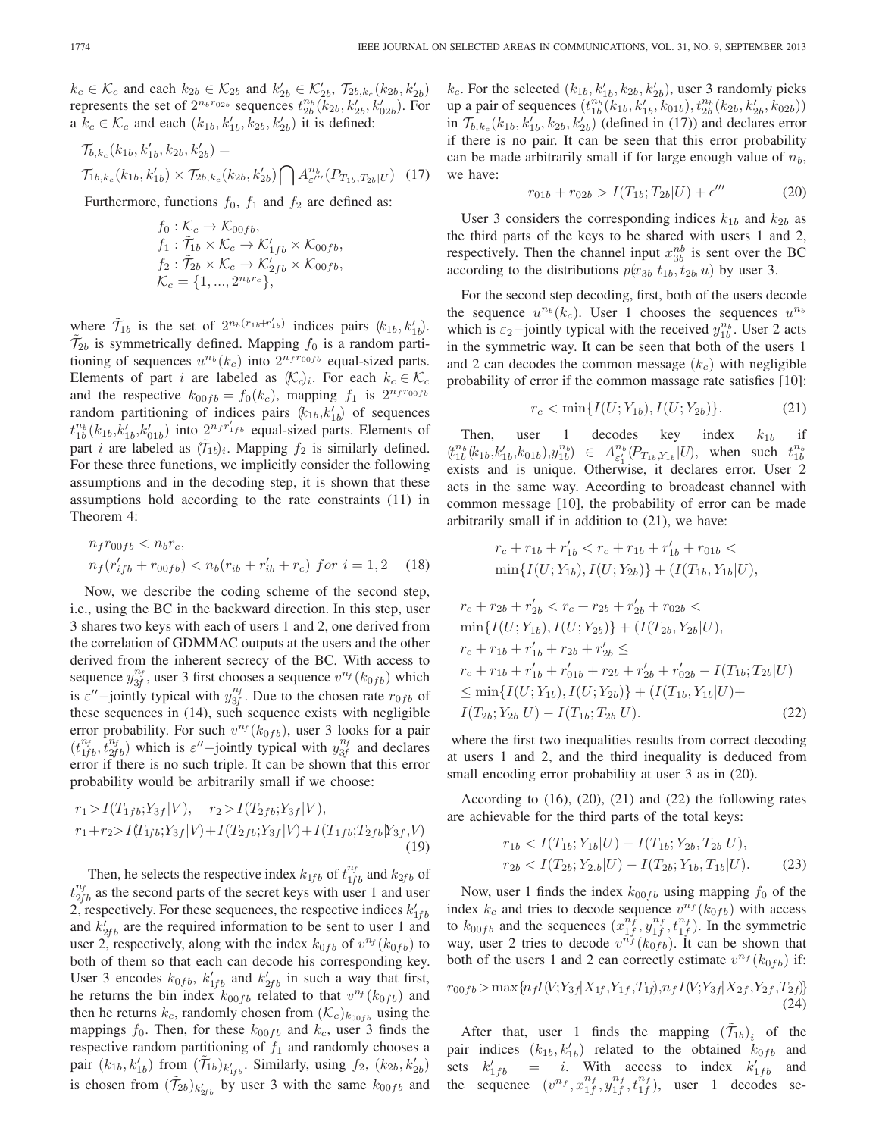$k_c \in \mathcal{K}_c$  and each  $k_{2b} \in \mathcal{K}_{2b}$  and  $k'_{2b} \in \mathcal{K}'_{2b}$ ,  $\mathcal{T}_{2b}, k_c(k_{2b}, k'_{2b})$ <br>represents the set of  $2^{n_b r_{02b}}$  sequences  $t^{n_b}(k_{2b}, k'_{2b})$ . represents the set of  $2^{n_b r_0}$  and  $n_{2b}$   $\subset \infty_2$ *b*,  $r_{2b}$ ,  $r_{2b}$ ,  $k_{2b}$ ,  $k_{2b}^{\prime}$ ,  $k_{2b}^{\prime}$ ,  $k_{02b}^{\prime}$ ). For <br>a  $k \in K$ , and each  $(k_1, k'_1, k_2, k'_2)$  it is defined a  $k_c \in \mathcal{K}_c$  and each  $(k_{1b}, k'_{1b}, k_{2b}, k'_{2b})$  it is defined:

$$
\mathcal{T}_{b,k_c}(k_{1b}, k'_{1b}, k_{2b}, k'_{2b}) =
$$
\n
$$
\mathcal{T}_{1b,k_c}(k_{1b}, k'_{1b}) \times \mathcal{T}_{2b,k_c}(k_{2b}, k'_{2b}) \bigcap A^{n_b}_{\varepsilon'''}(P_{T_{1b}, T_{2b}|U}) \quad (17)
$$

Furthermore, functions  $f_0$ ,  $f_1$  and  $f_2$  are defined as:

$$
f_0: \mathcal{K}_c \to \mathcal{K}_{00fb},
$$
  
\n
$$
f_1: \tilde{\mathcal{T}}_{1b} \times \mathcal{K}_c \to \mathcal{K}'_{1fb} \times \mathcal{K}_{00fb},
$$
  
\n
$$
f_2: \tilde{\mathcal{T}}_{2b} \times \mathcal{K}_c \to \mathcal{K}'_{2fb} \times \mathcal{K}_{00fb},
$$
  
\n
$$
\mathcal{K}_c = \{1, ..., 2^{n_b r_c}\},
$$

where  $\tilde{T}_{1b}$  is the set of  $2^{n_b(r_{1b}+r'_{1b})}$  indices pairs  $(k_{1b}, k'_{1b})$ .<br>  $\tilde{T}_{2b}$  is symmetrically defined Manning f<sub>o</sub> is a random parti- $\mathcal{T}_{2b}$  is symmetrically defined. Mapping  $f_0$  is a random partitioning of sequences  $u^{n_b}(k_c)$  into  $2^{n_f r_{00fb}}$  equal-sized parts. Elements of part i are labeled as  $(\mathcal{K}_c)_i$ . For each  $k_c \in \mathcal{K}_c$ and the respective  $k_{00fb} = f_0(k_c)$ , mapping  $f_1$  is  $2^{n_f r_{00fb}}$ random partitioning of indices pairs  $(k_{1b}, k'_{1b})$  of sequences<br> $t^{n_b}(k_1, k'_{1b})$  into  $2^{n_f}t^{r'}_{1fh}$  equal sized parts. Elements of  $t_{1b}^{n_b}(k_{1b}, k'_{1b}, k'_{01b})$  into  $2^{n_f r'_{1fb}}$  equal-sized parts. Elements of  $\tilde{t}_{1b}$  rate labeled as  $(\tilde{t}_{1b})$ . Manning  $f_0$  is similarly defined part *i* are labeled as  $(T_{1b})_i$ . Mapping  $f_2$  is similarly defined.<br>For these three functions, we implicitly consider the following For these three functions, we implicitly consider the following assumptions and in the decoding step, it is shown that these assumptions hold according to the rate constraints (11) in Theorem 4:

$$
n_f r_{00fb} < n_b r_c, \\
n_f (r'_{ifb} + r_{00fb}) < n_b (r_{ib} + r'_{ib} + r_c) \text{ for } i = 1, 2 \quad (18)
$$

Now, we describe the coding scheme of the second step, i.e., using the BC in the backward direction. In this step, user 3 shares two keys with each of users 1 and 2, one derived from the correlation of GDMMAC outputs at the users and the other derived from the inherent secrecy of the BC. With access to sequence  $y_{3f}^{n_f}$ , user 3 first chooses a sequence  $v^{n_f}(k_{0fb})$  which<br>is  $c''$  initial tupical with  $v^{n_f}$ . Due to the chosen rate  $x_{0}$  of or is  $\varepsilon''$ -jointly typical with  $y_{3f}^{n_f}$ . Due to the chosen rate  $r_{0fb}$  of these sequences in (14), such sequence exists with negligible error probability. For such  $v^{n_f}(k_{0fb})$ , user 3 looks for a pair  $(t_{1f}^{n_f}, t_{2fb}^{n_f})$  which is  $\varepsilon''$ -jointly typical with  $y_{3f}^{n_f}$  and declares error if there is no such triple. It can be shown that this error probability would be arbitrarily small if we choose:

$$
r_1 > I(T_{1fb}; Y_{3f}|V), \quad r_2 > I(T_{2fb}; Y_{3f}|V),
$$
  
\n
$$
r_1 + r_2 > I(T_{1fb}; Y_{3f}|V) + I(T_{2fb}; Y_{3f}|V) + I(T_{1fb}; T_{2fb}|Y_{3f}, V)
$$
\n(19)

Then, he selects the respective index  $k_{1fb}$  of  $t_{1fb}^{n_f}$  and  $k_{2fb}$  of  $t_{2fb}^{n_f}$  as the second parts of the secret keys with user 1 and user 2, respectively. For these sequences, the respective indices  $k'_{1fb}$ and  $k'_{2fb}$  are the required information to be sent to user 1 and user 2, respectively, along with the index  $k_{0fb}$  of  $v^{n_f}(k_{0fb})$  to both of them so that each can decode his corresponding key. User 3 encodes  $k_{0fb}$ ,  $k'_{1fb}$  and  $k'_{2fb}$  in such a way that first, he returns the bin index  $k_{00fb}$  related to that  $v^{n_f}(k_{0fb})$  and then he returns  $k_c$ , randomly chosen from  $(\mathcal{K}_c)_{k_{00fb}}$  using the mappings  $f_0$ . Then, for these  $k_{00fb}$  and  $k_c$ , user 3 finds the respective random partitioning of  $f_1$  and randomly chooses a pair  $(k_{1b}, k'_{1b})$  from  $(\tilde{\tau}_{1b})_{k'_{1fb}}$ . Similarly, using  $f_2$ ,  $(k_{2b}, k'_{2b})$ is chosen from  $(\mathcal{T}_{2b})_{k'_{2fb}}$  by user 3 with the same  $k_{00fb}$  and

 $k_c$ . For the selected  $(k_{1b}, k'_{1b}, k_{2b}, k'_{2b})$ , user 3 randomly picks<br>up a pair of sequences  $(t^{n_b}(k_{1b}, k'_{1c}, k_{0b}))$   $t^{n_b}(k_{2b}, k'_{1c}, k_{0b}))$ up a pair of sequences  $(t_{1b}^{n_b}(\vec{k}_{1b}, k'_{1b}, \vec{k}_{01b}), t_{2b}^{n_b}(k_{2b}, k'_{2b}, k_{02b}))$ <br>in  $\mathcal{T}_{1,b}(k_{1b}, k'_{2b}, k'_{2b})$  (defined in (17)) and declares error in  $\mathcal{T}_{b,k_c}(k_{1b}, k'_{1b}, k_{2b}, k'_{2b})$  (defined in (17)) and declares error<br>if there is no pair. It can be seen that this error probability if there is no pair. It can be seen that this error probability can be made arbitrarily small if for large enough value of  $n_b$ , we have:

$$
r_{01b} + r_{02b} > I(T_{1b}; T_{2b}|U) + \epsilon''' \tag{20}
$$

User 3 considers the corresponding indices  $k_{1b}$  and  $k_{2b}$  as the third parts of the keys to be shared with users 1 and 2, respectively. Then the channel input  $x_{3b}^{nb}$  is sent over the BC according to the distributions  $p(x_{3b}|t_{1b}, t_{2b}, u)$  by user 3.

For the second step decoding, first, both of the users decode the sequence  $u^{n_b}(k_c)$ . User 1 chooses the sequences  $u^{n_b}$ which is  $\varepsilon_2$ -jointly typical with the received  $y_{1b}^{n_b}$ . User 2 acts in the symmetric way. It can be seen that both of the users 1 and 2 can decodes the common message  $(k<sub>c</sub>)$  with negligible probability of error if the common massage rate satisfies [10]:

$$
r_c < \min\{I(U;Y_{1b}), I(U;Y_{2b})\}.\tag{21}
$$

Then, user 1 decodes key index  $k_{1b}$  if  $(t_{1b}^{n_b}(k_{1b}, k'_{1b}, k_{01b}), y_{1b}^{n_b}) \in A_{\varepsilon'_1}^{n_b}$ <br>exists and is unique Otherw exists and is unique. Otherwise, it declares error. User 2  $(P_{T_{1b},Y_{1b}}|U)$ , when such  $t_{1b}^{n_b}$ <br>
ise it declares error User 2 acts in the same way. According to broadcast channel with common message [10], the probability of error can be made arbitrarily small if in addition to (21), we have:

$$
r_c + r_{1b} + r'_{1b} < r_c + r_{1b} + r'_{1b} + r_{01b} < \\
\min\{I(U;Y_{1b}), I(U;Y_{2b})\} + (I(T_{1b}, Y_{1b}|U),
$$

$$
r_c + r_{2b} + r'_{2b} < r_c + r_{2b} + r'_{2b} + r_{02b} < \\
\min\{I(U; Y_{1b}), I(U; Y_{2b})\} + (I(T_{2b}, Y_{2b}|U), \\
r_c + r_{1b} + r'_{1b} + r_{2b} + r'_{2b} < \\
r_c + r_{1b} + r'_{1b} + r'_{01b} + r_{2b} + r'_{2b} + r'_{02b} - I(T_{1b}; T_{2b}|U) \\
\leq \min\{I(U; Y_{1b}), I(U; Y_{2b})\} + (I(T_{1b}, Y_{1b}|U) + I(T_{2b}; Y_{2b}|U) - I(T_{1b}; T_{2b}|U).\n\tag{22}
$$

where the first two inequalities results from correct decoding at users 1 and 2, and the third inequality is deduced from small encoding error probability at user 3 as in (20).

According to  $(16)$ ,  $(20)$ ,  $(21)$  and  $(22)$  the following rates are achievable for the third parts of the total keys:

$$
r_{1b} < I(T_{1b}; Y_{1b}|U) - I(T_{1b}; Y_{2b}, T_{2b}|U),
$$
\n
$$
r_{2b} < I(T_{2b}; Y_{2,b}|U) - I(T_{2b}; Y_{1b}, T_{1b}|U). \tag{23}
$$

Now, user 1 finds the index  $k_{00fb}$  using mapping  $f_0$  of the index  $k_c$  and tries to decode sequence  $v^{n_f}(k_{0fb})$  with access to  $k_{00fb}$  and the sequences  $(x_{1f}^{n_f}, y_{1f}^{n_f}, t_{1f}^{n_f})$ . In the symmetric way, user 2 tries to decode  $v^{n_f}(k_{0fb})$ . It can be shown that both of the users 1 and 2 can correctly estimate  $v^{n_f}(k_{0fb})$  if:

$$
r_{00fb} > \max\{n_f I(V; Y_{3f} | X_{1f}, Y_{1f}, T_{1f}), n_f I(V; Y_{3f} | X_{2f}, Y_{2f}, T_{2f})\}
$$
\n(24)

After that, user 1 finds the mapping  $(T_{1b})_i$  of the indices  $(k_1, k')$  related to the obtained  $k_2 a$  and pair indices  $(k_{1b}, k'_{1b})$  related to the obtained  $k_{0fb}$  and<br>sets  $k' = i$  With access to index  $k'$  and sets  $\frac{1}{1}$  = i. With access to index  $k'_{1fb}$  and<br>guarge  $\left(e^{nt}e^{nt}e^{nt}e^{nt}e^{nt}\right)$  user 1 decodes see the sequence  $(v^{n_f}, x^{n_f}_{1f}, y^{n_f}_{1f}, t^{n_f}_{1f})$ , user 1 decodes se-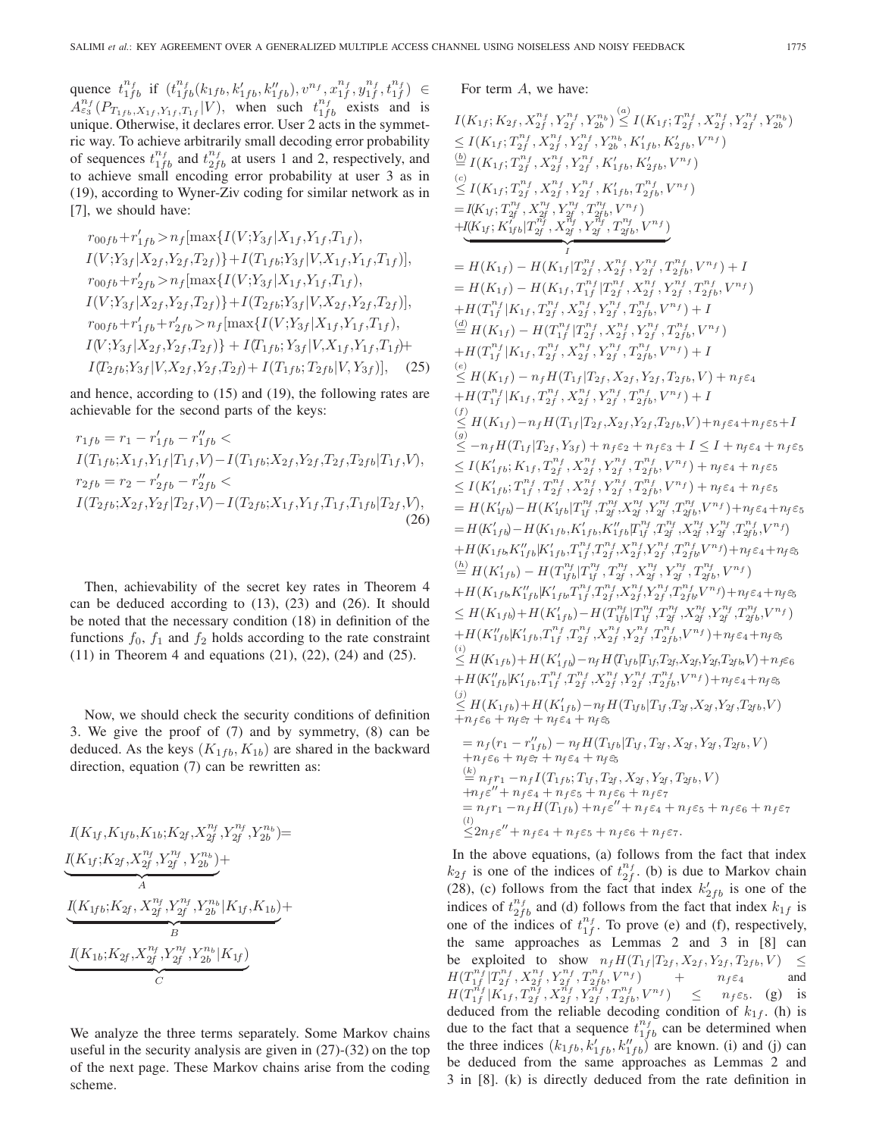quence  $t_{1fb}^{n_f}$  if  $(t_{1fb}^{n_f}(k_{1fb}, k'_{1fb}, k''_{1fb}), v^{n_f}, x_{1f}^{n_f}, y_{1f}^{n_f}, t_{1f}^{n_f}) \in A_{\varepsilon_3}^{n_f}(P_{T_{1fb}, X_{1f}, Y_{1f}, T_{1f}}|V)$ , when such  $t_{1fb}^{n_f}$  exists and is unique Otherwise it declares error User 2 acts in the symmetunique. Otherwise, it declares error. User 2 acts in the symmetric way. To achieve arbitrarily small decoding error probability of sequences  $t_{1fb}^{n_f}$  and  $t_{2fb}^{n_f}$  at users 1 and 2, respectively, and to achieve small encoding error probability at user 3 as in (19), according to Wyner-Ziv coding for similar network as in [7], we should have:

$$
r_{00fb} + r'_{1fb} > n_f[\max\{I(V;Y_{3f}|X_{1f},Y_{1f},T_{1f}),
$$
  
\n
$$
I(V;Y_{3f}|X_{2f},Y_{2f},T_{2f})\} + I(T_{1fb};Y_{3f}|V,X_{1f},Y_{1f},T_{1f})],
$$
  
\n
$$
r_{00fb} + r'_{2fb} > n_f[\max\{I(V;Y_{3f}|X_{1f},Y_{1f},T_{1f}),
$$
  
\n
$$
I(V;Y_{3f}|X_{2f},Y_{2f},T_{2f})\} + I(T_{2fb};Y_{3f}|V,X_{2f},Y_{2f},T_{2f})],
$$
  
\n
$$
r_{00fb} + r'_{1fb} + r'_{2fb} > n_f[\max\{I(V;Y_{3f}|X_{1f},Y_{1f},T_{1f}),
$$
  
\n
$$
I(V;Y_{3f}|X_{2f},Y_{2f},T_{2f})\} + I(T_{1fb};Y_{3f}|V,X_{1f},Y_{1f},T_{1f}) +
$$
  
\n
$$
I(T_{2fb};Y_{3f}|V,X_{2f},Y_{2f},T_{2f}) + I(T_{1fb};T_{2fb}|V,Y_{3f})],
$$
 (25)

and hence, according to (15) and (19), the following rates are achievable for the second parts of the keys:

$$
r_{1fb} = r_1 - r'_{1fb} - r''_{1fb} \nI(T_{1fb}; X_{1f}, Y_{1f} | T_{1f}, V) - I(T_{1fb}; X_{2f}, Y_{2f}, T_{2f}, T_{2fb} | T_{1f}, V),\nr_{2fb} = r_2 - r'_{2fb} - r''_{2fb} \nI(T_{2fb}; X_{2f}, Y_{2f} | T_{2f}, V) - I(T_{2fb}; X_{1f}, Y_{1f}, T_{1f}, T_{1fb} | T_{2f}, V),
$$
\n(26)

Then, achievability of the secret key rates in Theorem 4 can be deduced according to (13), (23) and (26). It should be noted that the necessary condition (18) in definition of the functions  $f_0$ ,  $f_1$  and  $f_2$  holds according to the rate constraint (11) in Theorem 4 and equations (21), (22), (24) and (25).

Now, we should check the security conditions of definition 3. We give the proof of (7) and by symmetry, (8) can be deduced. As the keys  $(K_{1fb}, K_{1b})$  are shared in the backward direction, equation (7) can be rewritten as:

$$
I(K_{1f}, K_{1fb}, K_{1b}; K_{2f}, X_{2f}^{n_f}, Y_{2f}^{n_f}, Y_{2b}^{n_b}) =
$$
  
\n
$$
I(K_{1f}; K_{2f}, X_{2f}^{n_f}, Y_{2f}^{n_f}, Y_{2b}^{n_b}) +
$$
  
\n
$$
I(K_{1fb}; K_{2f}, X_{2f}^{n_f}, Y_{2f}^{n_f}, Y_{2b}^{n_b} | K_{1f}, K_{1b}) +
$$
  
\n
$$
B
$$
  
\n
$$
I(K_{1b}; K_{2f}, X_{2f}^{n_f}, Y_{2f}^{n_f}, Y_{2b}^{n_b} | K_{1f})
$$
  
\n
$$
C
$$

We analyze the three terms separately. Some Markov chains useful in the security analysis are given in (27)-(32) on the top of the next page. These Markov chains arise from the coding scheme.

For term A, we have:

I(K<sub>1</sub>; K<sub>2</sub>, X<sub>1</sub>, Y<sub>2</sub><sup>n</sup>, Y<sub>2</sub><sup>n</sup>, Y<sub>2</sub><sup>n</sup>, Y<sub>2</sub><sup>n</sup><sup>n</sup> 
$$
\leq
$$
  
\n $\leq I(K_{1f}; T_{2f}^{n_f}, Y_{2f}^{n_f}, Y_{2f}^{n_f}, Y_{2f}^{n_f}, Y_{2f}^{n_f}, Y_{2f}^{n_f}, Y_{2f}^{n_f}, Y_{2f}^{n_f})$   
\n $\leq I(K_{1f}; T_{2f}^{n_f}, X_{2f}^{n_f}, Y_{2f}^{n_f}, Y_{2f}^{n_f}, K'_{1fb}, K'_{2fb}, V^{n_f})$   
\n $\leq I(K_{1f}; T_{2f}^{n_f}, X_{2f}^{n_f}, Y_{2f}^{n_f}, Y_{1fb}^{n_f}, Y_{2fb}^{n_f}, Y^{n_f})$   
\n $= I(K_{1f}; T_{2f}^{n_f}, X_{2f}^{n_f}, Y_{2f}^{n_f}, Y_{2f}^{n_f}, Y_{2fb}^{n_f}, Y^{n_f})$   
\n $+ I(K_{1f}; K'_{1fb}|T_{2f}^{n_f}, X_{2f}^{n_f}, Y_{2f}^{n_f}, Y_{2f}^{n_f}, Y_{2f}^{n_f}, Y_{2f}^{n_f}, Y_{2f}^{n_f}, Y_{2f}^{n_f}, Y_{2f}^{n_f}, Y_{2f}^{n_f}, Y_{2f}^{n_f}, Y_{2f}^{n_f}, Y_{2f}^{n_f}, Y_{2f}^{n_f}, Y_{2f}^{n_f}, Y_{2f}^{n_f}, Y_{2f}^{n_f}, Y_{2f}^{n_f}, Y_{2f}^{n_f}, Y_{2f}^{n_f}, Y_{2f}^{n_f}, Y_{2f}^{n_f}, Y_{2f}^{n_f}, Y_{2f}^{n_f}, Y_{2f}^{n_f}, Y_{2f}^{n_f}, Y_{2f}^{n_f}, Y_{2f}^{n_f}, Y_{2f}^{n_f}, Y_{2f}^{n_f}, Y_{2f}^{n_f}, Y_{2f}^{n_f}, Y_{2f}^{n_f}, Y_{2f}^{n_f}, Y_{2f}^{n_f}, Y_{2f}^{n_f}, Y_{2f}^{n_f}, Y_{2f}^{n_f}, Y_{2f}^{n_f}, Y_{2f}^{n_f},$ 

 $k_{2f}$  is one of the indices of t  $\frac{n_f}{2f}$ . (b) is due to Markov chain (28), (c) follows from the fact that index  $k'_{2fb}$  is one of the indices of  $t_{2fb}^{n_f}$  and (d) follows from the fact that index  $k_{1f}$  is one of the indices of  $t_{1f}^{n_f}$ . To prove (e) and (f), respectively, the same approaches as Lemmas 2 and 3 in [8] can be exploited to show  $n_f H(T_{1f} | T_{2f}, X_{2f}, Y_{2f}, T_{2fb}, V) \leq$  $H(T_{1f}^{n_f}|T_{2f}^{n_f}, X_{2f}^{n_f}, Y_{2f}^{n_f}, T_{2f}^{n_f}, V^{n_f})$  +  $n_f \epsilon_4$  and<br>  $H(T_{1f}|T_f, Z_{1f}^{n_f}, Y_{1f}^{n_f}, Y_{1f}^{n_f}, T_{1f}^{n_f}, Y_{1f}^{n_f}, Y_{1f}^{n_f})$  < n.e. (c) is  $H(T_1^{n_f} | K_1f, T_2^{n_f}, X_1^{n_f}, Y_1^{n_f}, T_2^{n_f}, T_3^{n_f}, V^{n_f}) \leq n_f \varepsilon_5$ . (g) is<br>deduced from the reliable decoding condition of  $k_1$ . (b) is deduced from the reliable decoding condition of  $k_{1f}$ . (h) is due to the fact that a sequence  $t_{1fb}^{n_f}$  can be determined when the three indices  $(k_{1fb}, k'_{1fb}, k''_{1fb})$  are known. (i) and (j) can<br>be deduced from the same approaches as Lemmas 2 and be deduced from the same approaches as Lemmas 2 and 3 in [8]. (k) is directly deduced from the rate definition in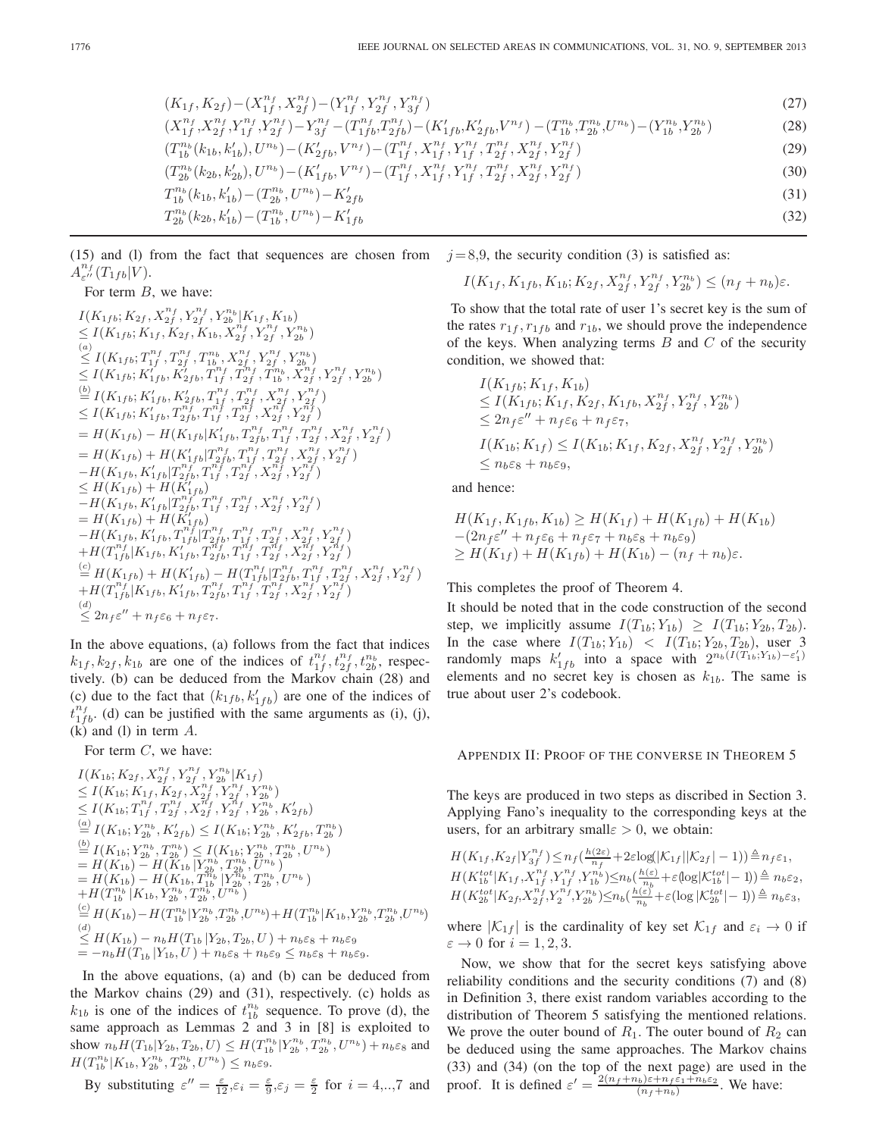(K1<sup>f</sup> , K2<sup>f</sup> )−(Xn*<sup>f</sup>* <sup>2</sup><sup>f</sup> )−(<sup>Y</sup> <sup>n</sup>*<sup>f</sup>* <sup>1</sup><sup>f</sup> , Xn*<sup>f</sup>* <sup>1</sup><sup>f</sup> , Y <sup>n</sup>*<sup>f</sup>* <sup>2</sup><sup>f</sup> , Y <sup>n</sup>*<sup>f</sup>* <sup>3</sup><sup>f</sup> ) (27)

$$
(X_{1f}^{n_f}, X_{2f}^{n_f}, Y_{1f}^{n_f}, Y_{2f}^{n_f}) - Y_{3f}^{n_f} - (T_{1fb}^{n_f}, T_{2fb}^{n_f}) - (K_{1fb}'^{\prime}, K_{2fb}'^{\prime}, V^{n_f}) - (T_{1b}^{n_b}, T_{2b}^{n_b}, U^{n_b}) - (Y_{1b}^{n_b}, Y_{2b}^{n_b})
$$
\n
$$
(T_{1b}^{n_b}(k_{1b}, k_{1b}'), U^{n_b}) - (K_{2fb}', V^{n_f}) - (T_{1f}^{n_f}, X_{1f}^{n_f}, Y_{1f}^{n_f}, T_{2f}^{n_f}, X_{2f}^{n_f}, Y_{2f}^{n_f})
$$
\n
$$
(29)
$$

$$
(T_{1b}^{n_b}(k_{1b}, k'_{1b}), U^{n_b}) - (K'_{2fb}, V^{n_f}) - (T_{1f}^{n_f}, X_{1f}^{n_f}, Y_{1f}^{n_f}, T_{2f}^{n_f}, X_{2f}^{n_f}, Y_{2f}^{n_f})
$$
\n
$$
(T_{2b}^{n_b}(k_{2b}, k'_{2b}), U^{n_b}) - (K'_{1fb}, V^{n_f}) - (T_{1f}^{n_f}, X_{1f}^{n_f}, Y_{1f}^{n_f}, T_{2f}^{n_f}, X_{2f}^{n_f}, Y_{2f}^{n_f})
$$
\n
$$
(30)
$$
\n
$$
(31)
$$

$$
(T_{2b}^{n_b}(k_{2b}, k'_{2b}), U^{n_b}) - (K'_{1fb}, V^{n_f}) - (T_{1f}^{n_f}, X_{1f}^{n_f}, Y_{1f}^{n_f}, T_{2f}^{n_f}, X_{2f}^{n_f}, Y_{2f}^{n_f})
$$
\n
$$
(30)
$$
\n
$$
T_{1b}^{n_b}(k_{1b}, k'_{1b}) - (T_{2b}^{n_b}, U^{n_b}) - K'_{2fb}
$$
\n
$$
(31)
$$
\n
$$
(32)
$$

$$
T_{2b}^{n_b}(k_{2b}, k'_{1b}) - (T_{1b}^{n_b}, U^{n_b}) - K'_{1fb} \tag{32}
$$

(15) and (l) from the fact that sequences are chosen from  $A^{n_f}_{\varepsilon''}(T_{1fb}|V).$ <br>For term  $B$ 

## For term B, we have:

$$
I(K_{1fb}; K_{2f}, X_{2f}^{n_f}, Y_{2f}^{n_f}, Y_{2b}^{n_b} | K_{1f}, K_{1b})
$$
  
\n
$$
\leq I(K_{1fb}; K_{1f}, K_{2f}, K_{1b}, X_{2f}^{n_f}, Y_{2f}^{n_f}, Y_{2b}^{n_b})
$$
  
\n(a)  
\n
$$
\leq I(K_{1fb}; T_{1f}^{n_f}, T_{2f}^{n_f}, T_{1b}^{n_b}, X_{2f}^{n_f}, Y_{2f}^{n_f}, Y_{2b}^{n_b})
$$
  
\n
$$
\leq I(K_{1fb}; K'_{1fb}, K'_{2fb}, T_{1f}^{n_f}, T_{2f}^{n_f}, T_{1b}^{n_b}, X_{2f}^{n_f}, Y_{2f}^{n_f}, Y_{2b}^{n_b})
$$
  
\n(b)  
\n
$$
I(K_{1fb}; K'_{1fb}, K'_{2fb}, T_{1f}^{n_f}, T_{2f}^{n_f}, X_{2f}^{n_f}, Y_{2f}^{n_f})
$$
  
\n
$$
\leq I(K_{1fb}; K'_{1fb}, T_{2fb}^{n_f}, T_{1f}^{n_f}, T_{2f}^{n_f}, X_{2f}^{n_f}, Y_{2f}^{n_f})
$$
  
\n
$$
= H(K_{1fb}) - H(K_{1fb}|K'_{1fb}, T_{2f}^{n_f}, T_{1f}^{n_f}, T_{2f}^{n_f}, X_{2f}^{n_f}, Y_{2f}^{n_f})
$$
  
\n
$$
= H(K_{1fb}) + H(K'_{1fb}|T_{2fb}^{n_f}, T_{1f}^{n_f}, T_{2f}^{n_f}, X_{2f}^{n_f}, Y_{2f}^{n_f})
$$
  
\n
$$
= H(K_{1fb}) + H(K'_{1fb}|T_{2fb}^{n_f}, T_{1f}^{n_f}, T_{2f}^{n_f}, X_{2f}^{n_f}, Y_{2f}^{n_f})
$$
  
\n
$$
= H(K_{1fb}) + H(K'_{1fb})
$$
  
\n
$$
-H(K_{1fb}) + H(K'_{1fb})
$$
  
\n
$$
-H(K_{1fb}) + H(K'_{1fb})
$$
  
\n
$$
-H(K_{1fb}) + H(K'_{1fb})
$$
  
\n

In the above equations, (a) follows from the fact that indices  $k_{1f}$ ,  $k_{2f}$ ,  $k_{1b}$  are one of the indices of  $t_{1f}^{n_f}$ ,  $t_{2f}^{n_f}$ ,  $t_{2b}^{n_b}$ , respectively. (b) can be deduced from the Markov chain (28) and (c) due to the fact that  $(k_{1fb}, k'_{1fb})$  are one of the indices of  $t^{nf}$  (d) can be justified with the same arguments as (i) (i)  $t^{n_f}_{1fb}$ . (d) can be justified with the same arguments as (i), (j),  $(k)$  and  $(l)$  in term  $A$ .

For term  $C$ , we have:

$$
I(K_{1b}; K_{2f}, X_{2f}^{nf}, Y_{2f}^{nf}, Y_{2b}^{n_b} | K_{1f})
$$
  
\n
$$
\leq I(K_{1b}; K_{1f}, K_{2f}, X_{2f}^{nf}, Y_{2f}^{nf}, Y_{2b}^{n_b})
$$
  
\n
$$
\leq I(K_{1b}; T_{1f}^{nf}, T_{2f}^{nf}, X_{2f}^{nf}, Y_{2f}^{nf}, Y_{2b}^{n_b}, K'_{2fb})
$$
  
\n
$$
\stackrel{(a)}{=} I(K_{1b}; Y_{2b}^{n_b}, K'_{2fb}) \leq I(K_{1b}; Y_{2b}^{n_b}, K'_{2fb}, T_{2b}^{n_b})
$$
  
\n
$$
\stackrel{(b)}{=} I(K_{1b}; Y_{2b}^{n_b}, T_{2b}^{n_b}) \leq I(K_{1b}; Y_{2b}^{n_b}, T_{2b}^{n_b}, U^{n_b})
$$
  
\n
$$
= H(K_{1b}) - H(K_{1b}; T_{1b}^{n_b} | Y_{1b}^{n_b}, T_{2b}^{n_b}, U^{n_b})
$$
  
\n
$$
+ H(T_{1b}^{n_b} | K_{1b}, Y_{2b}^{n_b}, T_{2b}^{n_b}, U^{n_b})
$$
  
\n
$$
\stackrel{(c)}{=} H(K_{1b}) - H(T_{1b}^{n_b} | Y_{2b}^{n_b}, T_{2b}^{n_b}, U^{n_b})
$$
  
\n
$$
\stackrel{(d)}{=} H(K_{1b}) - H(T_{1b}^{n_b} | Y_{2b}^{n_b}, T_{2b}^{n_b}, U^{n_b}) + H(T_{1b}^{n_b} | K_{1b}, Y_{2b}^{n_b}, T_{2b}^{n_b}, U^{n_b})
$$
  
\n
$$
\leq H(K_{1b}) - n_b H(T_{1b} | Y_{2b}, T_{2b}, U) + n_b \varepsilon_8 + n_b \varepsilon_9
$$
  
\n
$$
= -n_b H(T_{1b} | Y_{1b}, U) + n_b \varepsilon_8 + n_b \varepsilon_9 \leq n_b \varepsilon_8 + n_b \varepsilon_9.
$$

In the above equations, (a) and (b) can be deduced from the Markov chains (29) and (31), respectively. (c) holds as  $k_{1b}$  is one of the indices of  $t_{1b}^{n_b}$  sequence. To prove (d), the same approach as Lemmas 2 and 3 in [8] is exploited to show  $n_b H(T_{1b} | Y_{2b}, T_{2b}, U) \leq H(T_{1b}^{n_b} | Y_{2b}^{n_b}, T_{2b}^{n_b}, U^{n_b}) + n_b \varepsilon_8$  and<br> $H(T_{1b}^{n_b} | Y_{2b}^{n_b}, T_{1b}^{n_b}, U^{n_b}) \leq n_c$  $H(T_{1b}^{n_b}|K_{1b}, Y_{2b}^{n_b}, T_{2b}^{n_b}, U^{n_b}) \leq n_b \varepsilon_9.$ 

By substituting 
$$
\varepsilon'' = \frac{\varepsilon}{12}, \varepsilon_i = \frac{\varepsilon}{9}, \varepsilon_j = \frac{\varepsilon}{2}
$$
 for  $i = 4,..,7$  and

 $j = 8.9$ , the security condition (3) is satisfied as:

$$
I(K_{1f}, K_{1fb}, K_{1b}; K_{2f}, X_{2f}^{n_f}, Y_{2f}^{n_f}, Y_{2b}^{n_b}) \le (n_f + n_b)\varepsilon.
$$

To show that the total rate of user 1's secret key is the sum of the rates  $r_{1f}$ ,  $r_{1fb}$  and  $r_{1b}$ , we should prove the independence of the keys. When analyzing terms  $B$  and  $C$  of the security condition, we showed that:

$$
I(K_{1fb}; K_{1f}, K_{1b})
$$
  
\n
$$
\leq I(K_{1fb}; K_{1f}, K_{2f}, K_{1fb}, X_{2f}^{n_f}, Y_{2f}^{n_f}, Y_{2b}^{n_b})
$$
  
\n
$$
\leq 2n_f \varepsilon'' + n_f \varepsilon_6 + n_f \varepsilon_7,
$$
  
\n
$$
I(K_{1b}; K_{1f}) \leq I(K_{1b}; K_{1f}, K_{2f}, X_{2f}^{n_f}, Y_{2f}^{n_f}, Y_{2b}^{n_b})
$$
  
\n
$$
\leq n_b \varepsilon_8 + n_b \varepsilon_9,
$$

and hence:

$$
H(K_{1f}, K_{1fb}, K_{1b}) \ge H(K_{1f}) + H(K_{1fb}) + H(K_{1b})
$$
  
-(2n<sub>f</sub>ε" + n<sub>f</sub>ε<sub>6</sub> + n<sub>f</sub>ε<sub>7</sub> + n<sub>b</sub>ε<sub>8</sub> + n<sub>b</sub>ε<sub>9</sub>)  
\ge H(K\_{1f}) + H(K\_{1fb}) + H(K\_{1b}) - (n<sub>f</sub> + n<sub>b</sub>)ε.

## This completes the proof of Theorem 4.

It should be noted that in the code construction of the second step, we implicitly assume  $I(T_{1b}; Y_{1b}) \geq I(T_{1b}; Y_{2b}, T_{2b})$ .<br>In the case where  $I(T_{1b}; Y_{1b}) < I(T_{1b}; Y_{2b}, T_{2b})$ , user 3 In the case where  $I(T_{1b}; Y_{1b}) < I(T_{1b}; Y_{2b}, T_{2b})$ , user 3<br>randomly maps  $k'_{1fb}$  into a space with  $2^{n_b(I(T_{1b}; Y_{1b})-\epsilon'_1)}$ <br>elements and no secret key is chosen as  $k_{1b}$ . The same is elements and no secret key is chosen as  $k_{1b}$ . The same is true about user 2's codebook.

## APPENDIX II: PROOF OF THE CONVERSE IN THEOREM 5

The keys are produced in two steps as discribed in Section 3. Applying Fano's inequality to the corresponding keys at the users, for an arbitrary small $\varepsilon > 0$ , we obtain:

$$
H(K_{1f}, K_{2f} | Y_{3f}^{n_f}) \le n_f(\frac{h(2\varepsilon)}{n_f} + 2\varepsilon \log(|K_{1f}| |K_{2f}| - 1)) \triangleq n_f \varepsilon_1,
$$
  
\n
$$
H(K_{1b}^{tot} | K_{1f}, X_{1f}^{n_f}, Y_{1f}^{n_f}, Y_{1b}^{n_b}) \le n_b(\frac{h(\varepsilon)}{n_b} + \varepsilon (\log |K_{1b}^{tot}| - 1)) \triangleq n_b \varepsilon_2,
$$
  
\n
$$
H(K_{2b}^{tot} | K_{2f}, X_{2f}^{n_f}, Y_{2b}^{n_f}, Y_{2b}^{n_b}) \le n_b(\frac{h(\varepsilon)}{n_b} + \varepsilon (\log |K_{2b}^{tot}| - 1)) \triangleq n_b \varepsilon_3,
$$

where  $|\mathcal{K}_{1f}|$  is the cardinality of key set  $\mathcal{K}_{1f}$  and  $\varepsilon_i \to 0$  if  $\varepsilon \to 0$  for  $i = 1, 2, 3$ .

Now, we show that for the secret keys satisfying above reliability conditions and the security conditions (7) and (8) in Definition 3, there exist random variables according to the distribution of Theorem 5 satisfying the mentioned relations. We prove the outer bound of  $R_1$ . The outer bound of  $R_2$  can be deduced using the same approaches. The Markov chains (33) and (34) (on the top of the next page) are used in the proof. It is defined  $\varepsilon' = \frac{2(n_f + n_b)\varepsilon + n_f \varepsilon_1 + n_b \varepsilon_2}{(n_f + n_b)}$ . We have: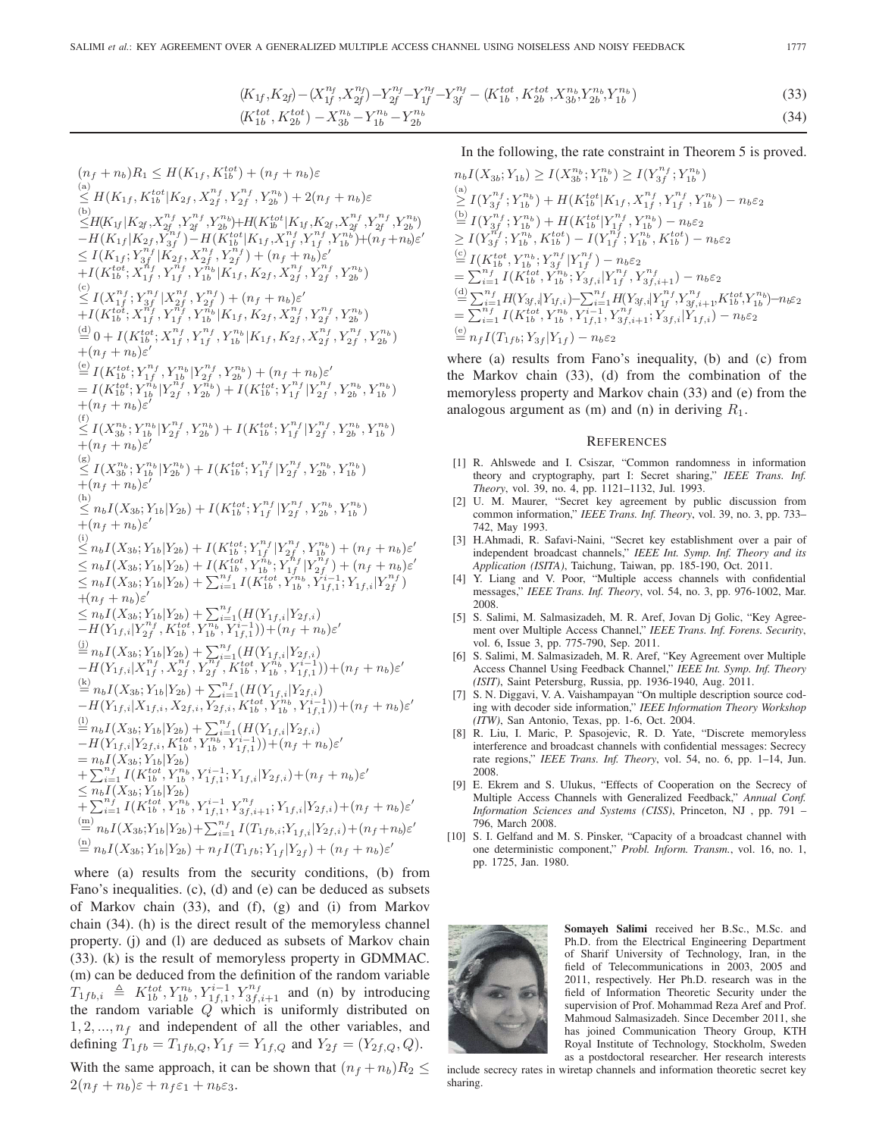$$
(K_{1f}, K_{2f}) - (X_{1f}^{n_f}, X_{2f}^{n_f}) - Y_{2f}^{n_f} - Y_{1f}^{n_f} - X_{3f}^{n_f} - (K_{1b}^{tot}, K_{2b}^{tot}, X_{3b}^{n_b}, Y_{2b}^{n_b}, Y_{1b}^{n_b})
$$
\n
$$
(K_{1b}^{tot}, K_{2b}^{tot}) - X_{3b}^{n_b} - Y_{1b}^{n_b} - Y_{2b}^{n_b}
$$
\n
$$
(34)
$$

 $(n_f + n_b)R_1 \leq H(K_{1f}, K_{1b}^{tot}) + (n_f + n_b)\varepsilon$ <br>(a)  $\sum_{i=1}^{d} H(K_{1f}, K_{1b}^{tot}|K_{2f}, X_{2f}^{n_f}, Y_{2f}^{n_f}, Y_{2b}^{n_b}) + 2(n_f + n_b)\varepsilon$ (b)<br>  $\leq H(K_{1f}|K_{2f}, X_{2f}^{n_f}, Y_{2f}^{n_f}, Y_{2b}^{n_b}) + H(K_{1b}^{tot}|K_{1f}, K_{2f}, X_{2f}^{n_f}, Y_{2f}^{n_f}, Y_{2b}^{n_b}) \ - H(K_{1f}|K_{2f}, Y_{3f}^{n_f}) - H(K_{1b}^{tot}|K_{1f}, X_{1f}^{n_f}, Y_{1f}^{n_f}, Y_{1b}^{n_b}) + (n_f + n_b) \varepsilon' \$  $\leq I(K_{1f}; Y_{3f}^{n_f} | K_{2f}^1, X_{2f}^{n_f}, Y_{2f}^{n_f}) + (n_f + n_b) \varepsilon'$ <br>+  $I(K^{tot}, Y_{nf}^{n_f} | V_{nf}^{n_f} | K_{1f}^1, K_{2f}^1, K_{3f}^1, Y_{nf}^{n_f} | V_{nf}^{n_f}]$  $+I(K_{1b}^{tot};X_{1f}^{n_f},Y_{1f}^{n_f},Y_{1b}^{n_b}|K_{1f}^{'},K_{2f},X_{2f}^{n_f},Y_{2f}^{n_f},Y_{2b}^{n_b})$  $\begin{aligned} &\mathcal{L}(x_1)_b^{(1)}\,,\mathcal{L}(x_1)_f^{(1)}\,,\mathcal{L}(x_2)_f^{(1)}\,,\mathcal{L}(x_2)_f^{(2)}\,,\mathcal{L}(x_2)_f^{(2)}\,,\ &\mathcal{L}(x_1)_f^{(1)}\,,\mathcal{L}(x_1)_f^{(1)}\,,\mathcal{L}(x_1)_f^{(1)}\,,\mathcal{L}(x_1)_f^{(1)}\,,\mathcal{L}(x_1)_f^{(2)}\,,\mathcal{L}(x_1)_f^{(2)}\,,\mathcal{L}(x_1)_f^{(2)}\,,\mathcal{L}(x_$  $\frac{d}{dt} \left\{ 0 + I(K_{1b}^{tot}; X_{1f}^{n_f}, Y_{1f}^{n_f}, Y_{1b}^{n_b} | K_{1f}, K_{2f}, X_{2f}^{n_f}, Y_{2f}^{n_f}, Y_{2b}^{n_b} \right\}$  $+(n_f+n_b)\varepsilon^{\prime}$ <br>(e)  $\mathcal{L}(x,t)$  $\begin{array}{l} \stackrel{\text{(e)}}{=} I(K_{1b}^{tot};Y_{1f}^{n_f},Y_{1b}^{n_b}|Y_{2f}^{n_f},Y_{2b}^{n_b}) + (n_f+n_b)\varepsilon'\\ = I(K_{1b}^{tot};Y_{1b}^{n_b}|Y_{2f}^{n_f},Y_{2b}^{n_b}) + I(K_{1b}^{tot};Y_{1f}^{n_f}|Y_{2f}^{n_f},Y_{2b}^{n_b},Y_{1b}^{n_b})\\ + (n_f+n_b)\varepsilon' \end{array}$  $+(n_f+n_b)\varepsilon'$ <sub>(f)</sub>  $\leq I(X_{3b}^{n_b}; Y_{1b}^{n_b} | Y_{2f}^{n_f}, Y_{2b}^{n_b}) + I(K_{1b}^{tot}; Y_{1f}^{n_f} | Y_{2f}^{n_f}, Y_{2b}^{n_b}, Y_{1b}^{n_b})$ <br>+(n, + n, );'  $+(n_f + n_b)\varepsilon'$ <br>  $\leq I(X_{3b}^{n_b}; Y_{1b}^{n_b}|Y_{2b}^{n_b}) + I(K_{1b}^{tot}; Y_{1f}^{n_f}|Y_{2f}^{n_f}, Y_{2b}^{n_b}, Y_{1b}^{n_b})$ <br>  $+(n_f + n_b)\varepsilon'$  $+(n_f+n_h)\varepsilon'$ (h)<br>  $\leq n_b I(X_{3b}; Y_{1b}|Y_{2b}) + I(K_{1b}^{tot}; Y_{1f}^{n_f} | Y_{2f}^{n_f}, Y_{2b}^{n_b}, Y_{1b}^{n_b})$ <br>  $+(n_f+n_i)s'$ +  $(n_f + n_b)\varepsilon'$ <br>
(i)<br>  $\leq n_b I(X_{3b}; Y_{1b}|Y_{2b}) + I(K_{1b}^{tot}; Y_{1f}^{n_f} | Y_{2f}^{n_f}, Y_{1b}^{n_b}) + (n_f + n_b)\varepsilon'$ <br>  $\leq n_b I(X_{3b}; Y_{1b}|Y_{2b}) + I(K_{1b}^{tot}, Y_{1b}^{n_b}; Y_{1f}^{n_f} | Y_{2f}^{n_f}) + (n_f + n_b)\varepsilon'$ <br>  $\leq n_b I(X_{3b}; Y_{1b}|Y_{2b}) + \sum_{i=1}^{n_f} I(K_{1b}^{tot}, Y_{1b}^{n$  $+(n_f+n_b)\varepsilon'\{}\leq n_b I(X_{3b}; Y_{1b}|Y_{2b}) + \sum_{i=1}^{n_f} (H(Y_{1f,i}|Y_{2f,i})\ -H(Y_{1f,i}|Y_{2f}^n, K_{1b}^{tot}, Y_{1b}^{n_b}, Y_{1f,1}^{i-1})) + (n_f+n_b)\varepsilon'\$ <br>(i)  $\overset{\text{(j)}}{=} n_b I(X_{3b}; Y_{1b}|Y_{2b}) + \sum_{r,f}^{n_f} (H(Y_{1f,i}|Y_{2f,i}) \ - H(Y_{1f,i}|X_{1f}^{n_f}, X_{2f}^{n_f}, Y_{2f}^{r_f}, K_{1b}^{tot}, Y_{1b}^{n_b}, Y_{1f,1}^{i-1})) + (n_f + n_b) \varepsilon'$ <br>(k)  $\overset{(k)}{=} n_b I(X_{3b}; Y_{1b} | Y_{2b}) + \sum_{i=1}^{n_f} (H(Y_{1f,i} | Y_{2f,i}))$ <br>  $-H(Y_{1f,i} | X_{1f,i} | X_{2f,i})$  $-H(Y_{1f,i}|X_{1f,i}, X_{2f,i}, Y_{2f,i}, K_{1b}^{tot}, Y_{1b}^{n_b}, Y_{1f,1}^{i-1})\n) + (n_f + n_b)\varepsilon'$  $\overset{(1)}{=} n_b I(X_{3b}; Y_{1b}|Y_{2b}) + \sum_{i=1}^{n_f} (H(Y_{1f,i}|Y_{2f,i}))$ <br>  $-H(Y_{1f,i}|Y_{2f,i}, Y_{1f,i}|Y_{2f,i}, Y_{1f,i}|Y_{1f,i}|Y_{2f,i})$  $-H(Y_{1f,i}|Y_{2f,i}, K_{1b}^{tot}, Y_{1b}^{n_b}, Y_{1f,1}^{i-1})) + (n_f + n_b) \varepsilon'$ <br>= n<sub>t</sub>  $I(X_0, Y_1|Y_0)$  $= n_b I(X_{3b}; Y_{1b}|Y_{2b}) + \sum_{i=1}^{n_f} I(K_{1b}^{tot}, Y_{1b}^{n_b}, Y_{1f,1}^{i-1}; Y_{1f,i}|Y_{2f,i}) + (n_f + n_b) \varepsilon'$ <br>  $\lt n, I(X_{2i} \cdot Y_{1i}|Y_{2i})$  $\leq n_b I(X_{3b}; Y_{1b}|Y_{2b}) + \sum_{i=1}^{n_f} I(K_{1b}^{tot}, Y_{1b}^{n_b}, Y_{1f,1}^{i-1}, Y_{3f,i+1}; Y_{1f,i}|Y_{2f,i}) + (n_f + n_b)\varepsilon'$ <sub>(m)</sub>  $\sum_{i=1}^{m} n_b I(X_{3b}; Y_{1b}|Y_{2b}) + \sum_{i=1}^{n_f} I(T_{1fb,i}; Y_{1f,i}|Y_{2f,i}) + (n_f + n_b)\varepsilon'$  $\stackrel{\text{(n)}}{=} n_b I(X_{3b}; Y_{1b}|Y_{2b}) + n_f I(T_{1fb}; Y_{1f}|Y_{2f}) + (n_f + n_b)\varepsilon'$ 

where (a) results from the security conditions, (b) from Fano's inequalities. (c), (d) and (e) can be deduced as subsets of Markov chain (33), and (f), (g) and (i) from Markov chain (34). (h) is the direct result of the memoryless channel property. (j) and (l) are deduced as subsets of Markov chain (33). (k) is the result of memoryless property in GDMMAC. (m) can be deduced from the definition of the random variable  $T_{1fb,i} \triangleq K_{1b}^{tot}, Y_{1b}^{n_b}, Y_{1f,1}^{i-1}, Y_{3f,i+1}^{n_f}$  and (n) by introducing the random variable  $Q$  which is uniformly distributed on  $1, 2, \ldots, n_f$  and independent of all the other variables, and defining  $T_{1fb} = T_{1fb,Q}, Y_{1f} = Y_{1f,Q}$  and  $Y_{2f} = (Y_{2f,Q}, Q)$ .

With the same approach, it can be shown that  $(n_f + n_b)R_2 \leq$  $2(n_f + n_b)\varepsilon + n_f \varepsilon_1 + n_b \varepsilon_3.$ 

In the following, the rate constraint in Theorem 5 is proved.

$$
n_b I(X_{3b}; Y_{1b}) \ge I(X_{3b}^{n_b}; Y_{1b}^{n_b}) \ge I(Y_{3f}^{n_f}; Y_{1b}^{n_b})
$$
  
\n(a)  
\n
$$
\ge I(Y_{3f}^{n_f}; Y_{1b}^{n_b}) + H(K_{1b}^{tot}|K_{1f}, X_{1f}^{n_f}, Y_{1f}^{n_f}, Y_{1b}^{n_b}) - n_b \varepsilon_2
$$
  
\n(b)  
\n
$$
I(Y_{3f}^{n_f}; Y_{1b}^{n_b}) + H(K_{1b}^{tot}|Y_{1f}^{n_f}, Y_{1b}^{n_b}) - n_b \varepsilon_2
$$
  
\n
$$
\ge I(Y_{3f}^{n_f}; Y_{1b}^{n_b}, K_{1b}^{tot}) - I(Y_{1f}^{n_f}; Y_{1b}^{n_b}, K_{1b}^{tot}) - n_b \varepsilon_2
$$
  
\n(c)  
\n
$$
I(K_{1b}^{tot}, Y_{1b}^{n_b}; Y_{3f}^{n_f}|Y_{1f}^{n_f}) - n_b \varepsilon_2
$$
  
\n
$$
= \sum_{i=1}^{n_f} I(K_{1b}^{tot}, Y_{1b}^{n_b}; Y_{3f,i}|Y_{1f}^{n_f}, Y_{3f,i+1}^{n_f}) - n_b \varepsilon_2
$$
  
\n(d)  
\n
$$
\le \sum_{i=1}^{n_f} H(Y_{3f,i}|Y_{1f,i}) - \sum_{i=1}^{n_f} H(Y_{3f,i}|Y_{1f}^{n_f}, Y_{3f,i+1}^{n_f}, K_{1b}^{tot}, Y_{1b}^{n_b}) - n_b \varepsilon_2
$$
  
\n
$$
= \sum_{i=1}^{n_f} I(K_{1b}^{tot}, Y_{1b}^{n_b}, Y_{1f,1}^{i}, Y_{3f,i+1}^{n_f}; Y_{3f,i}|Y_{1f,i}) - n_b \varepsilon_2
$$
  
\n(e)  
\n
$$
n_f I(T_{1f0}; Y_{3f}|Y_{1f}) - n_b \varepsilon_2
$$

where (a) results from Fano's inequality, (b) and (c) from the Markov chain (33), (d) from the combination of the memoryless property and Markov chain (33) and (e) from the analogous argument as (m) and (n) in deriving  $R_1$ .

#### **REFERENCES**

- [1] R. Ahlswede and I. Csiszar, "Common randomness in information theory and cryptography, part I: Secret sharing," *IEEE Trans. Inf. Theory*, vol. 39, no. 4, pp. 1121–1132, Jul. 1993.
- [2] U. M. Maurer, "Secret key agreement by public discussion from common information," *IEEE Trans. Inf. Theory*, vol. 39, no. 3, pp. 733– 742, May 1993.
- [3] H.Ahmadi, R. Safavi-Naini, "Secret key establishment over a pair of independent broadcast channels," *IEEE Int. Symp. Inf. Theory and its Application (ISITA)*, Taichung, Taiwan, pp. 185-190, Oct. 2011.
- [4] Y. Liang and V. Poor, "Multiple access channels with confidential messages," *IEEE Trans. Inf. Theory*, vol. 54, no. 3, pp. 976-1002, Mar. 2008.
- [5] S. Salimi, M. Salmasizadeh, M. R. Aref, Jovan Dj Golic, "Key Agreement over Multiple Access Channel," *IEEE Trans. Inf. Forens. Security*, vol. 6, Issue 3, pp. 775-790, Sep. 2011.
- [6] S. Salimi, M. Salmasizadeh, M. R. Aref, "Key Agreement over Multiple Access Channel Using Feedback Channel," *IEEE Int. Symp. Inf. Theory (ISIT)*, Saint Petersburg, Russia, pp. 1936-1940, Aug. 2011.
- [7] S. N. Diggavi, V. A. Vaishampayan "On multiple description source coding with decoder side information," *IEEE Information Theory Workshop (ITW)*, San Antonio, Texas, pp. 1-6, Oct. 2004.
- [8] R. Liu, I. Maric, P. Spasojevic, R. D. Yate, "Discrete memoryless interference and broadcast channels with confidential messages: Secrecy rate regions," *IEEE Trans. Inf. Theory*, vol. 54, no. 6, pp. 1–14, Jun. 2008.
- [9] E. Ekrem and S. Ulukus, "Effects of Cooperation on the Secrecy of Multiple Access Channels with Generalized Feedback," *Annual Conf. Information Sciences and Systems (CISS)*, Princeton, NJ , pp. 791 – 796, March 2008.
- [10] S. I. Gelfand and M. S. Pinsker, "Capacity of a broadcast channel with one deterministic component," *Probl. Inform. Transm.*, vol. 16, no. 1, pp. 1725, Jan. 1980.



Somayeh Salimi received her B.Sc., M.Sc. and Ph.D. from the Electrical Engineering Department of Sharif University of Technology, Iran, in the field of Telecommunications in 2003, 2005 and 2011, respectively. Her Ph.D. research was in the field of Information Theoretic Security under the supervision of Prof. Mohammad Reza Aref and Prof. Mahmoud Salmasizadeh. Since December 2011, she has joined Communication Theory Group, KTH Royal Institute of Technology, Stockholm, Sweden as a postdoctoral researcher. Her research interests

include secrecy rates in wiretap channels and information theoretic secret key sharing.